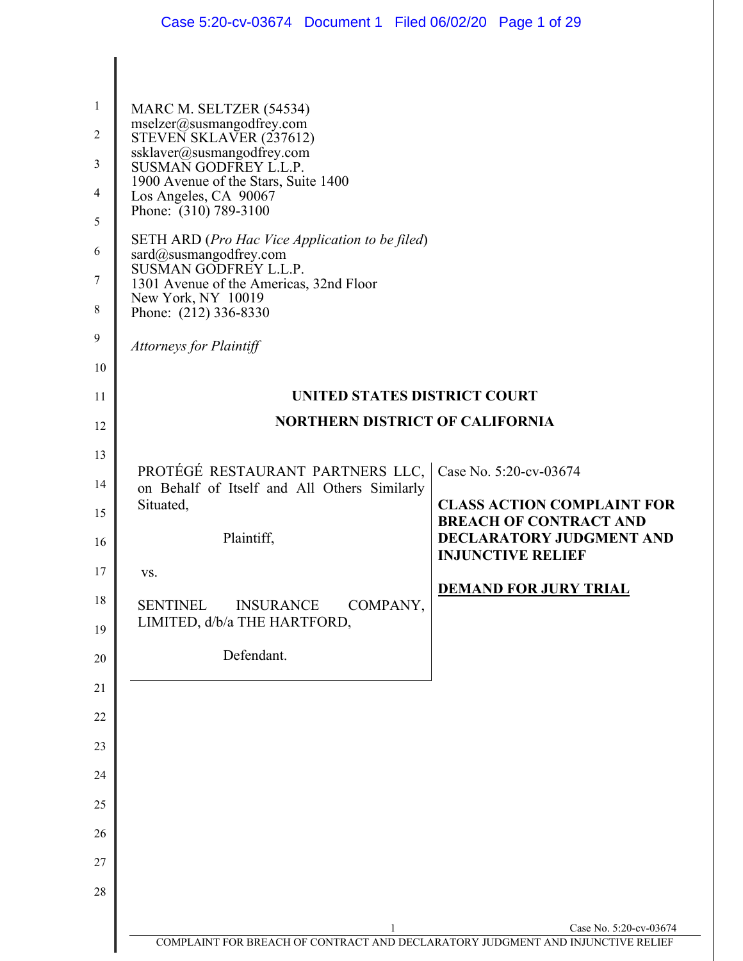| $\mathbf{1}$<br>$\overline{2}$<br>3<br>4<br>5<br>6<br>7<br>8<br>9 | MARC M. SELTZER (54534)<br>mselzer@susmangodfrey.com<br>STEVEN SKLAVER (237612)<br>ssklaver@susmangodfrey.com<br>SUSMAN GODFREY L.L.P.<br>1900 Avenue of the Stars, Suite 1400<br>Los Angeles, CA 90067<br>Phone: (310) 789-3100<br><b>SETH ARD</b> (Pro Hac Vice Application to be filed)<br>sard@susmangodfrey.com<br>SUSMAN GODFREY L.L.P.<br>1301 Avenue of the Americas, 32nd Floor<br>New York, NY 10019<br>Phone: (212) 336-8330 |                                                                    |
|-------------------------------------------------------------------|-----------------------------------------------------------------------------------------------------------------------------------------------------------------------------------------------------------------------------------------------------------------------------------------------------------------------------------------------------------------------------------------------------------------------------------------|--------------------------------------------------------------------|
| 10                                                                | <b>Attorneys for Plaintiff</b>                                                                                                                                                                                                                                                                                                                                                                                                          |                                                                    |
| 11                                                                | UNITED STATES DISTRICT COURT                                                                                                                                                                                                                                                                                                                                                                                                            |                                                                    |
| 12                                                                | <b>NORTHERN DISTRICT OF CALIFORNIA</b>                                                                                                                                                                                                                                                                                                                                                                                                  |                                                                    |
| 13                                                                |                                                                                                                                                                                                                                                                                                                                                                                                                                         |                                                                    |
| 14                                                                | PROTÉGÉ RESTAURANT PARTNERS LLC,<br>on Behalf of Itself and All Others Similarly                                                                                                                                                                                                                                                                                                                                                        | Case No. 5:20-cv-03674                                             |
| 15                                                                | Situated,                                                                                                                                                                                                                                                                                                                                                                                                                               | <b>CLASS ACTION COMPLAINT FOR</b><br><b>BREACH OF CONTRACT AND</b> |
| 16                                                                | Plaintiff,                                                                                                                                                                                                                                                                                                                                                                                                                              | <b>DECLARATORY JUDGMENT AND</b><br><b>INJUNCTIVE RELIEF</b>        |
| 17                                                                | VS.                                                                                                                                                                                                                                                                                                                                                                                                                                     |                                                                    |
| 18<br>19                                                          | COMPANY,<br><b>SENTINEL</b><br><b>INSURANCE</b><br>LIMITED, d/b/a THE HARTFORD,                                                                                                                                                                                                                                                                                                                                                         | <b>DEMAND FOR JURY TRIAL</b>                                       |
| 20                                                                | Defendant.                                                                                                                                                                                                                                                                                                                                                                                                                              |                                                                    |
| 21                                                                |                                                                                                                                                                                                                                                                                                                                                                                                                                         |                                                                    |
| 22                                                                |                                                                                                                                                                                                                                                                                                                                                                                                                                         |                                                                    |
| 23                                                                |                                                                                                                                                                                                                                                                                                                                                                                                                                         |                                                                    |
| 24                                                                |                                                                                                                                                                                                                                                                                                                                                                                                                                         |                                                                    |
| 25                                                                |                                                                                                                                                                                                                                                                                                                                                                                                                                         |                                                                    |
| 26                                                                |                                                                                                                                                                                                                                                                                                                                                                                                                                         |                                                                    |
| 27                                                                |                                                                                                                                                                                                                                                                                                                                                                                                                                         |                                                                    |
| 28                                                                |                                                                                                                                                                                                                                                                                                                                                                                                                                         |                                                                    |
|                                                                   | 1<br>COMPLAINT FOR BREACH OF CONTRACT AND DECLARATORY JUDGMENT AND INJUNCTIVE RELIEF                                                                                                                                                                                                                                                                                                                                                    | Case No. 5:20-cv-03674                                             |
|                                                                   |                                                                                                                                                                                                                                                                                                                                                                                                                                         |                                                                    |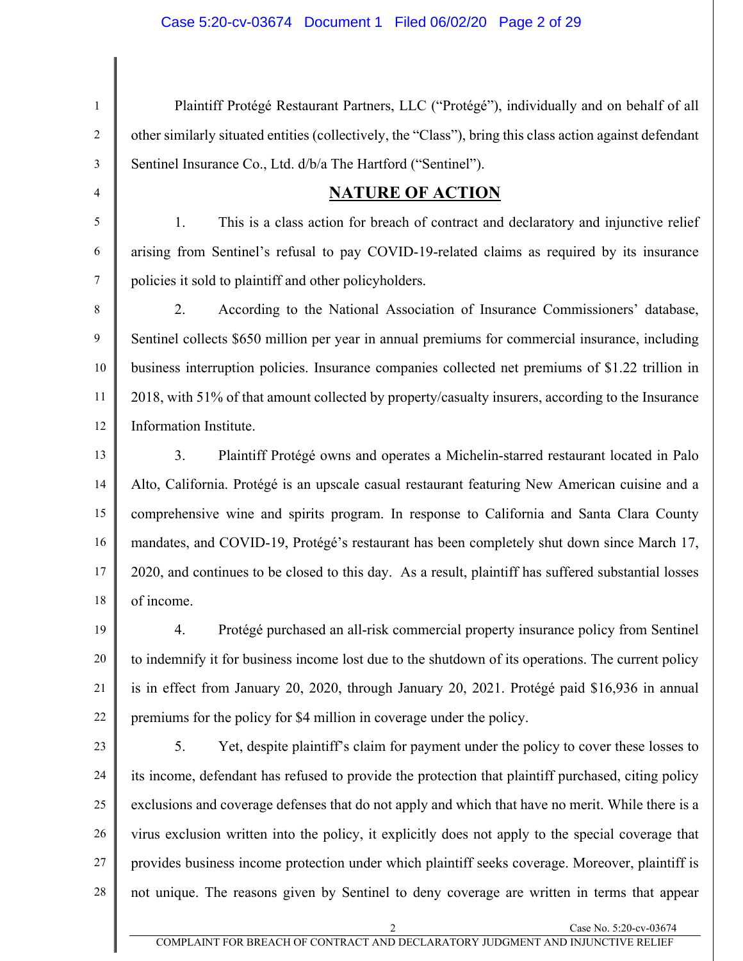4

5

6

7

1 2 3 Plaintiff Protégé Restaurant Partners, LLC ("Protégé"), individually and on behalf of all other similarly situated entities (collectively, the "Class"), bring this class action against defendant Sentinel Insurance Co., Ltd. d/b/a The Hartford ("Sentinel").

### **NATURE OF ACTION**

1. This is a class action for breach of contract and declaratory and injunctive relief arising from Sentinel's refusal to pay COVID-19-related claims as required by its insurance policies it sold to plaintiff and other policyholders.

8 9 10 11 12 2. According to the National Association of Insurance Commissioners' database, Sentinel collects \$650 million per year in annual premiums for commercial insurance, including business interruption policies. Insurance companies collected net premiums of \$1.22 trillion in 2018, with 51% of that amount collected by property/casualty insurers, according to the Insurance Information Institute.

13 14 15 16 17 18 3. Plaintiff Protégé owns and operates a Michelin-starred restaurant located in Palo Alto, California. Protégé is an upscale casual restaurant featuring New American cuisine and a comprehensive wine and spirits program. In response to California and Santa Clara County mandates, and COVID-19, Protégé's restaurant has been completely shut down since March 17, 2020, and continues to be closed to this day. As a result, plaintiff has suffered substantial losses of income.

19 20 21 22 4. Protégé purchased an all-risk commercial property insurance policy from Sentinel to indemnify it for business income lost due to the shutdown of its operations. The current policy is in effect from January 20, 2020, through January 20, 2021. Protégé paid \$16,936 in annual premiums for the policy for \$4 million in coverage under the policy.

23 24 25 26 27 28 5. Yet, despite plaintiff's claim for payment under the policy to cover these losses to its income, defendant has refused to provide the protection that plaintiff purchased, citing policy exclusions and coverage defenses that do not apply and which that have no merit. While there is a virus exclusion written into the policy, it explicitly does not apply to the special coverage that provides business income protection under which plaintiff seeks coverage. Moreover, plaintiff is not unique. The reasons given by Sentinel to deny coverage are written in terms that appear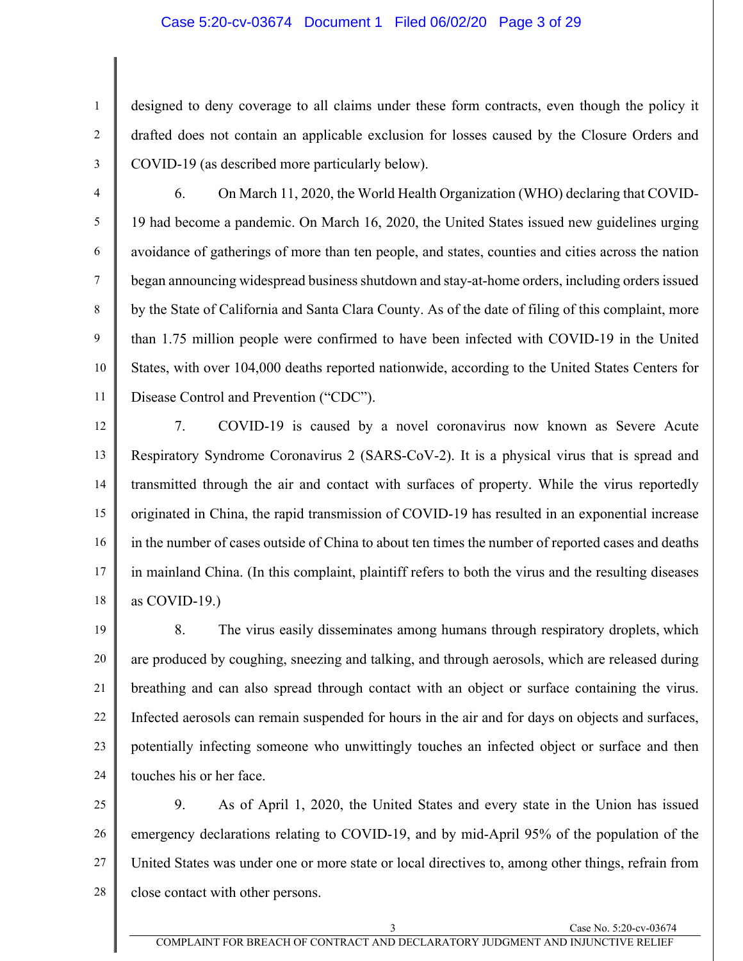#### Case 5:20-cv-03674 Document 1 Filed 06/02/20 Page 3 of 29

- 1 2 3 designed to deny coverage to all claims under these form contracts, even though the policy it drafted does not contain an applicable exclusion for losses caused by the Closure Orders and COVID-19 (as described more particularly below).
- 4 5 6 7 8 9 10 11 6. On March 11, 2020, the World Health Organization (WHO) declaring that COVID-19 had become a pandemic. On March 16, 2020, the United States issued new guidelines urging avoidance of gatherings of more than ten people, and states, counties and cities across the nation began announcing widespread business shutdown and stay-at-home orders, including orders issued by the State of California and Santa Clara County. As of the date of filing of this complaint, more than 1.75 million people were confirmed to have been infected with COVID-19 in the United States, with over 104,000 deaths reported nationwide, according to the United States Centers for Disease Control and Prevention ("CDC").
- 12 13 14 15 16 17 18 7. COVID-19 is caused by a novel coronavirus now known as Severe Acute Respiratory Syndrome Coronavirus 2 (SARS-CoV-2). It is a physical virus that is spread and transmitted through the air and contact with surfaces of property. While the virus reportedly originated in China, the rapid transmission of COVID-19 has resulted in an exponential increase in the number of cases outside of China to about ten times the number of reported cases and deaths in mainland China. (In this complaint, plaintiff refers to both the virus and the resulting diseases as COVID-19.)
- 19 20 21 22 23 24 8. The virus easily disseminates among humans through respiratory droplets, which are produced by coughing, sneezing and talking, and through aerosols, which are released during breathing and can also spread through contact with an object or surface containing the virus. Infected aerosols can remain suspended for hours in the air and for days on objects and surfaces, potentially infecting someone who unwittingly touches an infected object or surface and then touches his or her face.
- 25 26 27 28 9. As of April 1, 2020, the United States and every state in the Union has issued emergency declarations relating to COVID-19, and by mid-April 95% of the population of the United States was under one or more state or local directives to, among other things, refrain from close contact with other persons.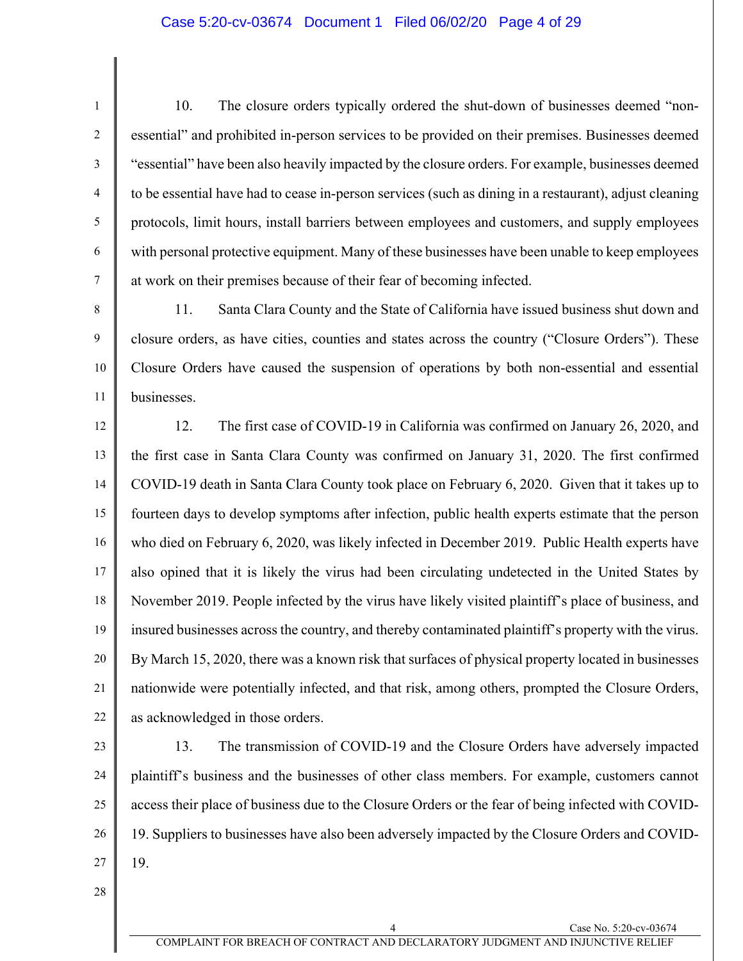#### Case 5:20-cv-03674 Document 1 Filed 06/02/20 Page 4 of 29

10. The closure orders typically ordered the shut-down of businesses deemed "nonessential" and prohibited in-person services to be provided on their premises. Businesses deemed "essential" have been also heavily impacted by the closure orders. For example, businesses deemed to be essential have had to cease in-person services (such as dining in a restaurant), adjust cleaning protocols, limit hours, install barriers between employees and customers, and supply employees with personal protective equipment. Many of these businesses have been unable to keep employees at work on their premises because of their fear of becoming infected.

10 11 11. Santa Clara County and the State of California have issued business shut down and closure orders, as have cities, counties and states across the country ("Closure Orders"). These Closure Orders have caused the suspension of operations by both non-essential and essential businesses.

12 13 14 15 16 17 18 19 20 21 22 12. The first case of COVID-19 in California was confirmed on January 26, 2020, and the first case in Santa Clara County was confirmed on January 31, 2020. The first confirmed COVID-19 death in Santa Clara County took place on February 6, 2020. Given that it takes up to fourteen days to develop symptoms after infection, public health experts estimate that the person who died on February 6, 2020, was likely infected in December 2019. Public Health experts have also opined that it is likely the virus had been circulating undetected in the United States by November 2019. People infected by the virus have likely visited plaintiff's place of business, and insured businesses across the country, and thereby contaminated plaintiff's property with the virus. By March 15, 2020, there was a known risk that surfaces of physical property located in businesses nationwide were potentially infected, and that risk, among others, prompted the Closure Orders, as acknowledged in those orders.

23

1

2

3

4

5

6

7

8

9

24 25 26 27 13. The transmission of COVID-19 and the Closure Orders have adversely impacted plaintiff's business and the businesses of other class members. For example, customers cannot access their place of business due to the Closure Orders or the fear of being infected with COVID-19. Suppliers to businesses have also been adversely impacted by the Closure Orders and COVID-19.

28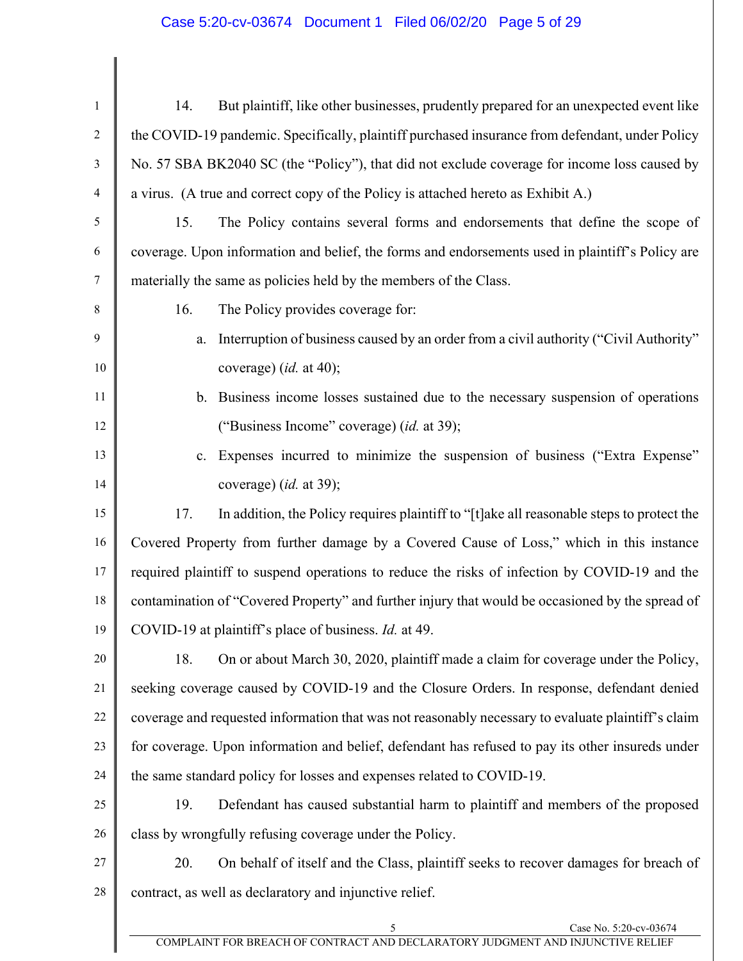## Case 5:20-cv-03674 Document 1 Filed 06/02/20 Page 5 of 29

 $\mathsf{l}$ 

| $\mathbf{1}$   | But plaintiff, like other businesses, prudently prepared for an unexpected event like<br>14.       |  |  |
|----------------|----------------------------------------------------------------------------------------------------|--|--|
| $\overline{2}$ | the COVID-19 pandemic. Specifically, plaintiff purchased insurance from defendant, under Policy    |  |  |
| 3              | No. 57 SBA BK2040 SC (the "Policy"), that did not exclude coverage for income loss caused by       |  |  |
| $\overline{4}$ | a virus. (A true and correct copy of the Policy is attached hereto as Exhibit A.)                  |  |  |
| 5              | The Policy contains several forms and endorsements that define the scope of<br>15.                 |  |  |
| 6              | coverage. Upon information and belief, the forms and endorsements used in plaintiff's Policy are   |  |  |
| 7              | materially the same as policies held by the members of the Class.                                  |  |  |
| 8              | 16.<br>The Policy provides coverage for:                                                           |  |  |
| 9              | Interruption of business caused by an order from a civil authority ("Civil Authority"<br>a.        |  |  |
| 10             | coverage) (id. at 40);                                                                             |  |  |
| 11             | Business income losses sustained due to the necessary suspension of operations<br>b.               |  |  |
| 12             | ("Business Income" coverage) (id. at 39);                                                          |  |  |
| 13             | Expenses incurred to minimize the suspension of business ("Extra Expense"<br>c.                    |  |  |
| 14             | coverage) (id. at 39);                                                                             |  |  |
| 15             | 17.<br>In addition, the Policy requires plaintiff to "[t] ake all reasonable steps to protect the  |  |  |
| 16             | Covered Property from further damage by a Covered Cause of Loss," which in this instance           |  |  |
| 17             | required plaintiff to suspend operations to reduce the risks of infection by COVID-19 and the      |  |  |
| 18             | contamination of "Covered Property" and further injury that would be occasioned by the spread of   |  |  |
| 19             | COVID-19 at plaintiff's place of business. Id. at 49.                                              |  |  |
| 20             | On or about March 30, 2020, plaintiff made a claim for coverage under the Policy,<br>18.           |  |  |
| 21             | seeking coverage caused by COVID-19 and the Closure Orders. In response, defendant denied          |  |  |
| 22             | coverage and requested information that was not reasonably necessary to evaluate plaintiff's claim |  |  |
| 23             | for coverage. Upon information and belief, defendant has refused to pay its other insureds under   |  |  |
| 24             | the same standard policy for losses and expenses related to COVID-19.                              |  |  |
| 25             | Defendant has caused substantial harm to plaintiff and members of the proposed<br>19.              |  |  |
| 26             | class by wrongfully refusing coverage under the Policy.                                            |  |  |
| 27             | On behalf of itself and the Class, plaintiff seeks to recover damages for breach of<br>20.         |  |  |
| 28             | contract, as well as declaratory and injunctive relief.                                            |  |  |
|                | Case No. 5:20-cv-03674<br>5                                                                        |  |  |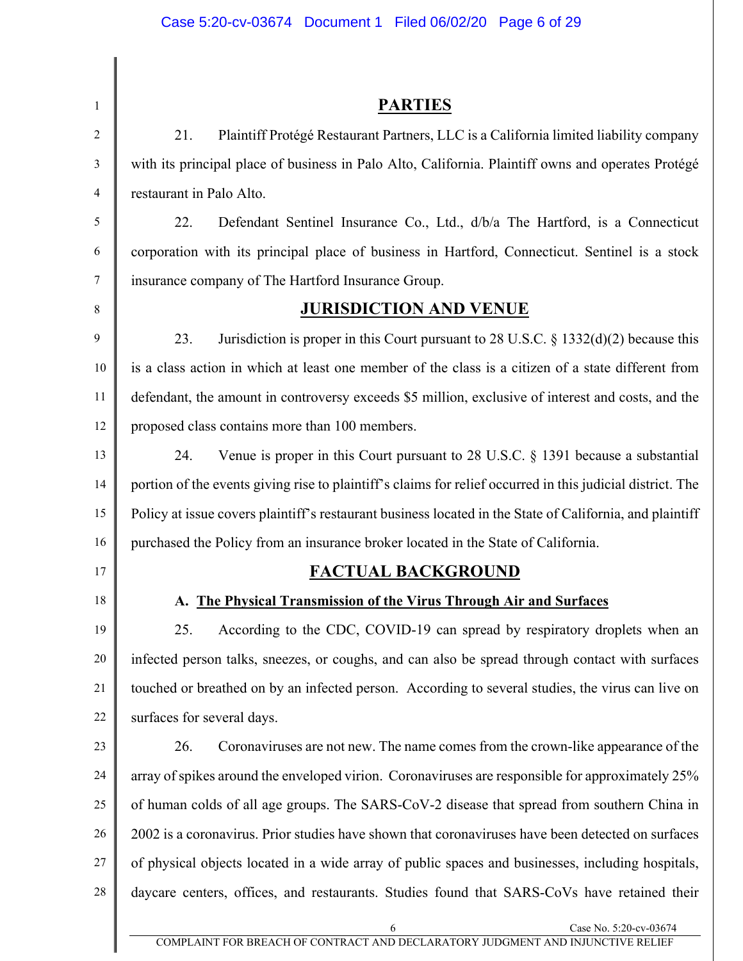| $\mathbf{1}$   | <b>PARTIES</b>                                                                                             |  |  |
|----------------|------------------------------------------------------------------------------------------------------------|--|--|
| $\overline{2}$ | 21.<br>Plaintiff Protégé Restaurant Partners, LLC is a California limited liability company                |  |  |
| 3              | with its principal place of business in Palo Alto, California. Plaintiff owns and operates Protégé         |  |  |
| 4              | restaurant in Palo Alto.                                                                                   |  |  |
| 5              | 22.<br>Defendant Sentinel Insurance Co., Ltd., d/b/a The Hartford, is a Connecticut                        |  |  |
| 6              | corporation with its principal place of business in Hartford, Connecticut. Sentinel is a stock             |  |  |
| 7              | insurance company of The Hartford Insurance Group.                                                         |  |  |
| 8              | <b>JURISDICTION AND VENUE</b>                                                                              |  |  |
| 9              | 23.<br>Jurisdiction is proper in this Court pursuant to 28 U.S.C. $\S$ 1332(d)(2) because this             |  |  |
| 10             | is a class action in which at least one member of the class is a citizen of a state different from         |  |  |
| 11             | defendant, the amount in controversy exceeds \$5 million, exclusive of interest and costs, and the         |  |  |
| 12             | proposed class contains more than 100 members.                                                             |  |  |
| 13             | 24.<br>Venue is proper in this Court pursuant to 28 U.S.C. $\S$ 1391 because a substantial                 |  |  |
| 14             | portion of the events giving rise to plaintiff's claims for relief occurred in this judicial district. The |  |  |
| 15             | Policy at issue covers plaintiff's restaurant business located in the State of California, and plaintiff   |  |  |
| 16             | purchased the Policy from an insurance broker located in the State of California.                          |  |  |
| 17             | <b>FACTUAL BACKGROUND</b>                                                                                  |  |  |
| 18             | A. The Physical Transmission of the Virus Through Air and Surfaces                                         |  |  |
| 19             | According to the CDC, COVID-19 can spread by respiratory droplets when an<br>25.                           |  |  |
| 20             | infected person talks, sneezes, or coughs, and can also be spread through contact with surfaces            |  |  |
| 21             | touched or breathed on by an infected person. According to several studies, the virus can live on          |  |  |
| 22             | surfaces for several days.                                                                                 |  |  |
| 23             | Coronaviruses are not new. The name comes from the crown-like appearance of the<br>26.                     |  |  |
| 24             | array of spikes around the enveloped virion. Coronaviruses are responsible for approximately 25%           |  |  |
| 25             | of human colds of all age groups. The SARS-CoV-2 disease that spread from southern China in                |  |  |
| 26             | 2002 is a coronavirus. Prior studies have shown that coronaviruses have been detected on surfaces          |  |  |
| 27             | of physical objects located in a wide array of public spaces and businesses, including hospitals,          |  |  |
| 28             | daycare centers, offices, and restaurants. Studies found that SARS-CoVs have retained their                |  |  |

6 Case No. 5:20-cv-03674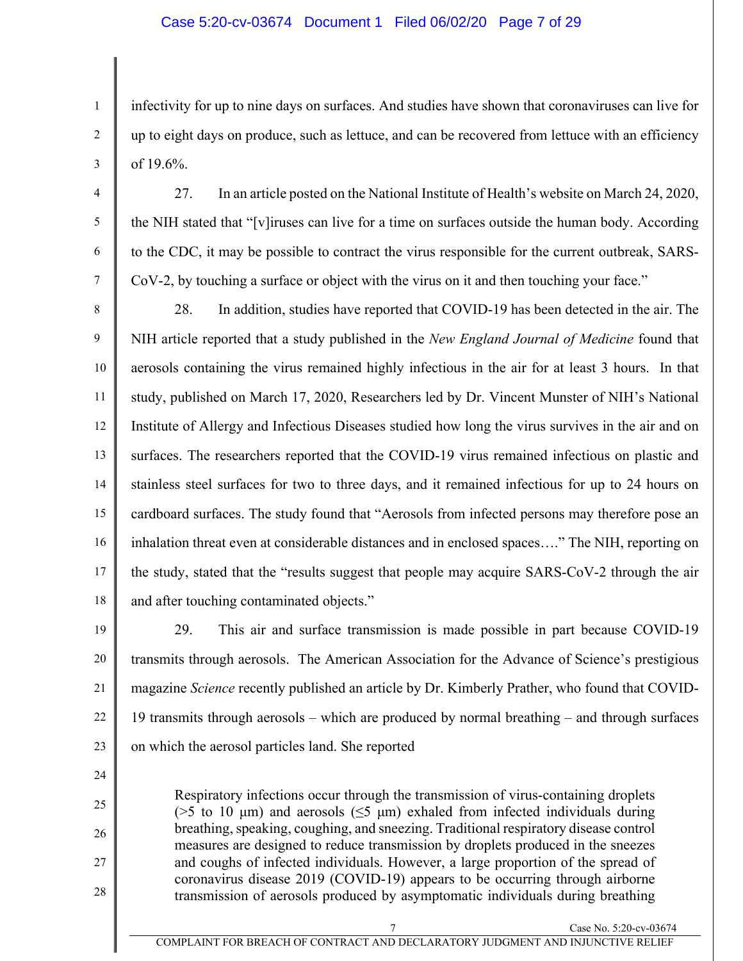#### Case 5:20-cv-03674 Document 1 Filed 06/02/20 Page 7 of 29

infectivity for up to nine days on surfaces. And studies have shown that coronaviruses can live for up to eight days on produce, such as lettuce, and can be recovered from lettuce with an efficiency of 19.6%.

4

1

2

3

5

6

7

27. In an article posted on the National Institute of Health's website on March 24, 2020, the NIH stated that "[v]iruses can live for a time on surfaces outside the human body. According to the CDC, it may be possible to contract the virus responsible for the current outbreak, SARS-CoV-2, by touching a surface or object with the virus on it and then touching your face."

8 9 10 11 12 13 14 15 16 17 18 28. In addition, studies have reported that COVID-19 has been detected in the air. The NIH article reported that a study published in the *New England Journal of Medicine* found that aerosols containing the virus remained highly infectious in the air for at least 3 hours. In that study, published on March 17, 2020, Researchers led by Dr. Vincent Munster of NIH's National Institute of Allergy and Infectious Diseases studied how long the virus survives in the air and on surfaces. The researchers reported that the COVID-19 virus remained infectious on plastic and stainless steel surfaces for two to three days, and it remained infectious for up to 24 hours on cardboard surfaces. The study found that "Aerosols from infected persons may therefore pose an inhalation threat even at considerable distances and in enclosed spaces…." The NIH, reporting on the study, stated that the "results suggest that people may acquire SARS-CoV-2 through the air and after touching contaminated objects."

19

20 21 22 23 29. This air and surface transmission is made possible in part because COVID-19 transmits through aerosols. The American Association for the Advance of Science's prestigious magazine *Science* recently published an article by Dr. Kimberly Prather, who found that COVID-19 transmits through aerosols – which are produced by normal breathing – and through surfaces on which the aerosol particles land. She reported

24

25

26 27

28

and coughs of infected individuals. However, a large proportion of the spread of coronavirus disease 2019 (COVID-19) appears to be occurring through airborne transmission of aerosols produced by asymptomatic individuals during breathing

Case No. 5:20-cv-03674

Respiratory infections occur through the transmission of virus-containing droplets ( $>5$  to 10 µm) and aerosols ( $\leq 5$  µm) exhaled from infected individuals during breathing, speaking, coughing, and sneezing. Traditional respiratory disease control measures are designed to reduce transmission by droplets produced in the sneezes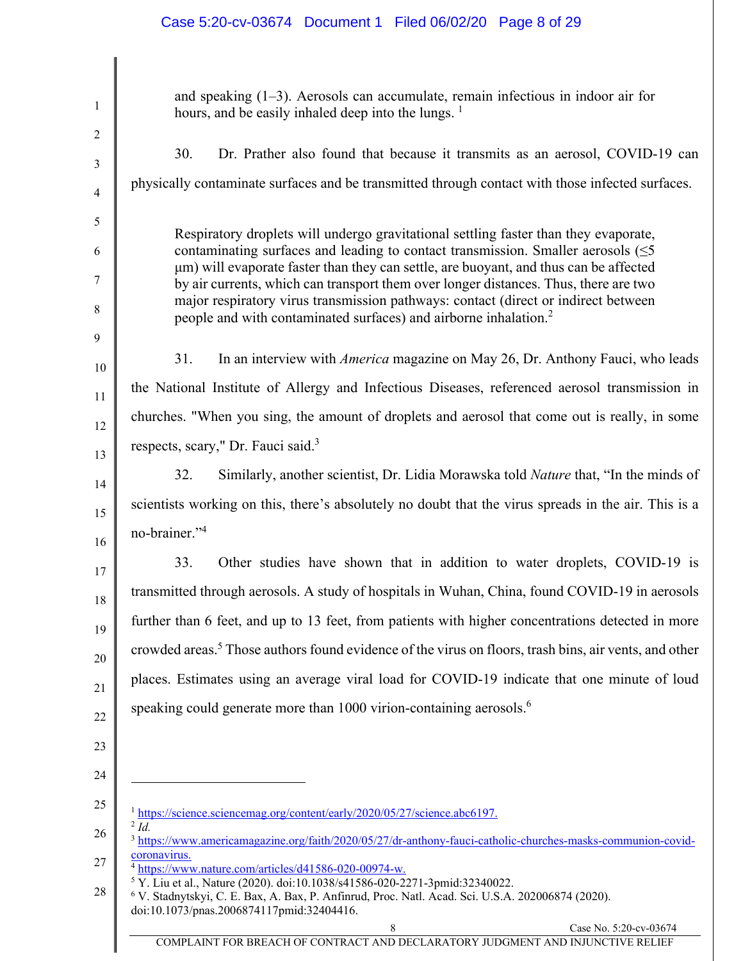## Case 5:20-cv-03674 Document 1 Filed 06/02/20 Page 8 of 29

| and speaking $(1-3)$ . Aerosols can accumulate, remain infectious in indoor air for<br>hours, and be easily inhaled deep into the lungs. <sup>1</sup>                                                                                                                                                                                                                                                                                                                                                                                  |  |  |
|----------------------------------------------------------------------------------------------------------------------------------------------------------------------------------------------------------------------------------------------------------------------------------------------------------------------------------------------------------------------------------------------------------------------------------------------------------------------------------------------------------------------------------------|--|--|
| Dr. Prather also found that because it transmits as an aerosol, COVID-19 can<br>30.                                                                                                                                                                                                                                                                                                                                                                                                                                                    |  |  |
| physically contaminate surfaces and be transmitted through contact with those infected surfaces.                                                                                                                                                                                                                                                                                                                                                                                                                                       |  |  |
| Respiratory droplets will undergo gravitational settling faster than they evaporate,<br>contaminating surfaces and leading to contact transmission. Smaller aerosols $(\leq 5)$<br>um) will evaporate faster than they can settle, are buoyant, and thus can be affected<br>by air currents, which can transport them over longer distances. Thus, there are two<br>major respiratory virus transmission pathways: contact (direct or indirect between<br>people and with contaminated surfaces) and airborne inhalation. <sup>2</sup> |  |  |
| In an interview with <i>America</i> magazine on May 26, Dr. Anthony Fauci, who leads<br>31.                                                                                                                                                                                                                                                                                                                                                                                                                                            |  |  |
| the National Institute of Allergy and Infectious Diseases, referenced aerosol transmission in                                                                                                                                                                                                                                                                                                                                                                                                                                          |  |  |
| churches. "When you sing, the amount of droplets and aerosol that come out is really, in some                                                                                                                                                                                                                                                                                                                                                                                                                                          |  |  |
| respects, scary," Dr. Fauci said. <sup>3</sup>                                                                                                                                                                                                                                                                                                                                                                                                                                                                                         |  |  |
| 32.<br>Similarly, another scientist, Dr. Lidia Morawska told <i>Nature</i> that, "In the minds of                                                                                                                                                                                                                                                                                                                                                                                                                                      |  |  |
| scientists working on this, there's absolutely no doubt that the virus spreads in the air. This is a<br>no-brainer." <sup>4</sup>                                                                                                                                                                                                                                                                                                                                                                                                      |  |  |
| 33.<br>Other studies have shown that in addition to water droplets, COVID-19 is                                                                                                                                                                                                                                                                                                                                                                                                                                                        |  |  |
| transmitted through aerosols. A study of hospitals in Wuhan, China, found COVID-19 in aerosols                                                                                                                                                                                                                                                                                                                                                                                                                                         |  |  |
| further than 6 feet, and up to 13 feet, from patients with higher concentrations detected in more                                                                                                                                                                                                                                                                                                                                                                                                                                      |  |  |
| crowded areas. <sup>5</sup> Those authors found evidence of the virus on floors, trash bins, air vents, and other                                                                                                                                                                                                                                                                                                                                                                                                                      |  |  |
| places. Estimates using an average viral load for COVID-19 indicate that one minute of loud                                                                                                                                                                                                                                                                                                                                                                                                                                            |  |  |
| speaking could generate more than 1000 virion-containing aerosols. <sup>6</sup>                                                                                                                                                                                                                                                                                                                                                                                                                                                        |  |  |
|                                                                                                                                                                                                                                                                                                                                                                                                                                                                                                                                        |  |  |
|                                                                                                                                                                                                                                                                                                                                                                                                                                                                                                                                        |  |  |
| <sup>1</sup> https://science.sciencemag.org/content/early/2020/05/27/science.abc6197.                                                                                                                                                                                                                                                                                                                                                                                                                                                  |  |  |
| $^{2}$ Id<br><sup>3</sup> https://www.americamagazine.org/faith/2020/05/27/dr-anthony-fauci-catholic-churches-masks-communion-covid-                                                                                                                                                                                                                                                                                                                                                                                                   |  |  |
| coronavirus.<br><sup>4</sup> https://www.nature.com/articles/d41586-020-00974-w.                                                                                                                                                                                                                                                                                                                                                                                                                                                       |  |  |
| <sup>5</sup> Y. Liu et al., Nature (2020). doi:10.1038/s41586-020-2271-3pmid:32340022.<br><sup>6</sup> V. Stadnytskyi, C. E. Bax, A. Bax, P. Anfinrud, Proc. Natl. Acad. Sci. U.S.A. 202006874 (2020).<br>doi:10.1073/pnas.2006874117pmid:32404416.                                                                                                                                                                                                                                                                                    |  |  |
| Case No. 5:20-cv-03674<br>COMPLAINT FOR BREACH OF CONTRACT AND DECLARATORY JUDGMENT AND INJUNCTIVE RELIEF                                                                                                                                                                                                                                                                                                                                                                                                                              |  |  |
|                                                                                                                                                                                                                                                                                                                                                                                                                                                                                                                                        |  |  |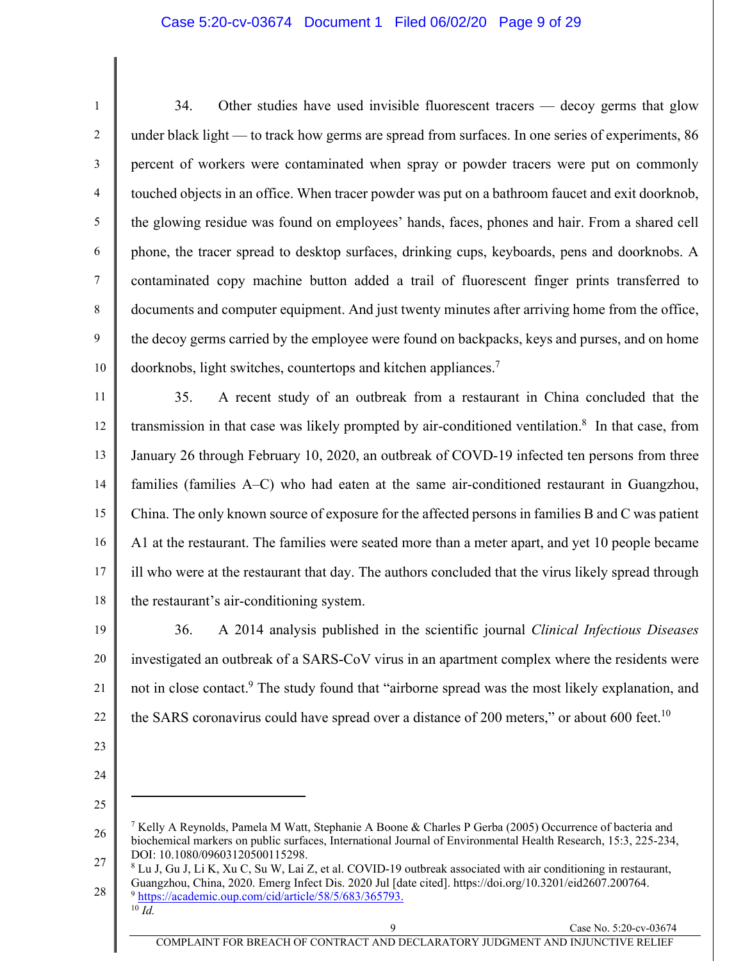#### Case 5:20-cv-03674 Document 1 Filed 06/02/20 Page 9 of 29

1 2 3 4 5 6 7 8 9 10 34. Other studies have used invisible fluorescent tracers — decoy germs that glow under black light — to track how germs are spread from surfaces. In one series of experiments, 86 percent of workers were contaminated when spray or powder tracers were put on commonly touched objects in an office. When tracer powder was put on a bathroom faucet and exit doorknob, the glowing residue was found on employees' hands, faces, phones and hair. From a shared cell phone, the tracer spread to desktop surfaces, drinking cups, keyboards, pens and doorknobs. A contaminated copy machine button added a trail of fluorescent finger prints transferred to documents and computer equipment. And just twenty minutes after arriving home from the office, the decoy germs carried by the employee were found on backpacks, keys and purses, and on home doorknobs, light switches, countertops and kitchen appliances.7

11 12 13 14 15 16 17 18 35. A recent study of an outbreak from a restaurant in China concluded that the transmission in that case was likely prompted by air-conditioned ventilation.<sup>8</sup> In that case, from January 26 through February 10, 2020, an outbreak of COVD-19 infected ten persons from three families (families A–C) who had eaten at the same air-conditioned restaurant in Guangzhou, China. The only known source of exposure for the affected persons in families B and C was patient A1 at the restaurant. The families were seated more than a meter apart, and yet 10 people became ill who were at the restaurant that day. The authors concluded that the virus likely spread through the restaurant's air-conditioning system.

19 20 21 22 36. A 2014 analysis published in the scientific journal *Clinical Infectious Diseases*  investigated an outbreak of a SARS-CoV virus in an apartment complex where the residents were not in close contact.<sup>9</sup> The study found that "airborne spread was the most likely explanation, and the SARS coronavirus could have spread over a distance of 200 meters," or about 600 feet.<sup>10</sup>

- 23
- 24

25

<sup>26</sup>  27 <sup>7</sup> Kelly A Reynolds, Pamela M Watt, Stephanie A Boone & Charles P Gerba (2005) Occurrence of bacteria and biochemical markers on public surfaces, International Journal of Environmental Health Research, 15:3, 225-234, DOI: 10.1080/09603120500115298.

<sup>28</sup>  8 Lu J, Gu J, Li K, Xu C, Su W, Lai Z, et al. COVID-19 outbreak associated with air conditioning in restaurant, Guangzhou, China, 2020. Emerg Infect Dis. 2020 Jul [date cited]. https://doi.org/10.3201/eid2607.200764. <sup>9</sup> https://academic.oup.com/cid/article/58/5/683/365793.  $10 \overline{Id}$ .

Case No. 5:20-cv-03674

COMPLAINT FOR BREACH OF CONTRACT AND DECLARATORY JUDGMENT AND INJUNCTIVE RELIEF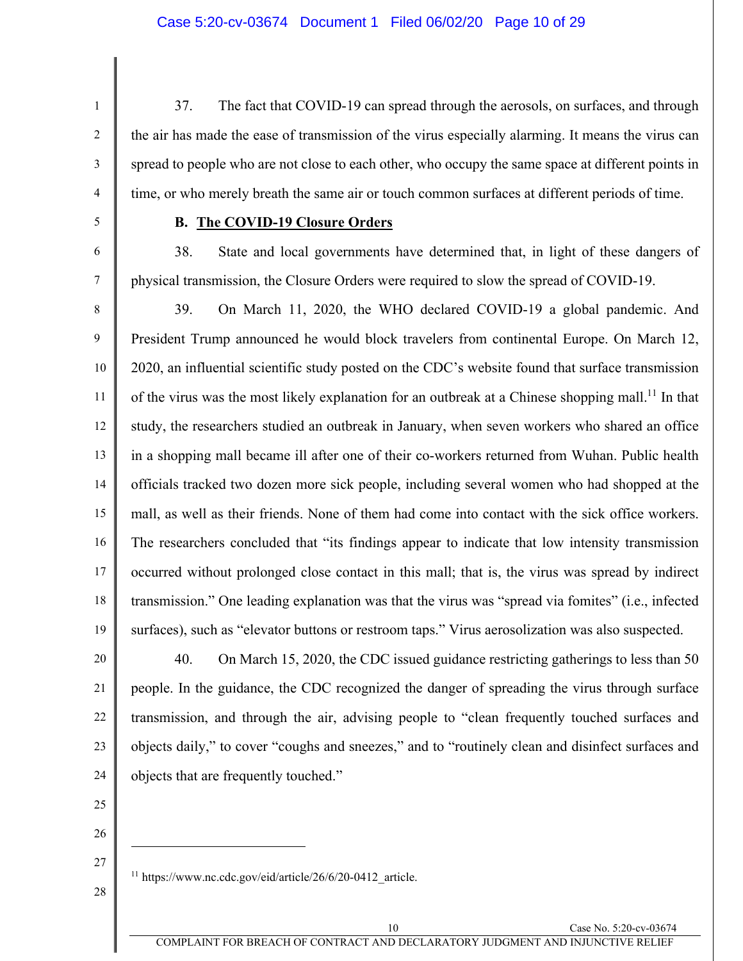1 2 3

37. The fact that COVID-19 can spread through the aerosols, on surfaces, and through the air has made the ease of transmission of the virus especially alarming. It means the virus can spread to people who are not close to each other, who occupy the same space at different points in time, or who merely breath the same air or touch common surfaces at different periods of time.

5

4

6

7

#### **B. The COVID-19 Closure Orders**

38. State and local governments have determined that, in light of these dangers of physical transmission, the Closure Orders were required to slow the spread of COVID-19.

8 9 10 11 12 13 14 15 16 17 18 19 39. On March 11, 2020, the WHO declared COVID-19 a global pandemic. And President Trump announced he would block travelers from continental Europe. On March 12, 2020, an influential scientific study posted on the CDC's website found that surface transmission of the virus was the most likely explanation for an outbreak at a Chinese shopping mall.<sup>11</sup> In that study, the researchers studied an outbreak in January, when seven workers who shared an office in a shopping mall became ill after one of their co-workers returned from Wuhan. Public health officials tracked two dozen more sick people, including several women who had shopped at the mall, as well as their friends. None of them had come into contact with the sick office workers. The researchers concluded that "its findings appear to indicate that low intensity transmission occurred without prolonged close contact in this mall; that is, the virus was spread by indirect transmission." One leading explanation was that the virus was "spread via fomites" (i.e., infected surfaces), such as "elevator buttons or restroom taps." Virus aerosolization was also suspected.

20 21 22 23 24 40. On March 15, 2020, the CDC issued guidance restricting gatherings to less than 50 people. In the guidance, the CDC recognized the danger of spreading the virus through surface transmission, and through the air, advising people to "clean frequently touched surfaces and objects daily," to cover "coughs and sneezes," and to "routinely clean and disinfect surfaces and objects that are frequently touched."

- 25
- 26
- 27
- 28
- <sup>11</sup> https://www.nc.cdc.gov/eid/article/26/6/20-0412 article.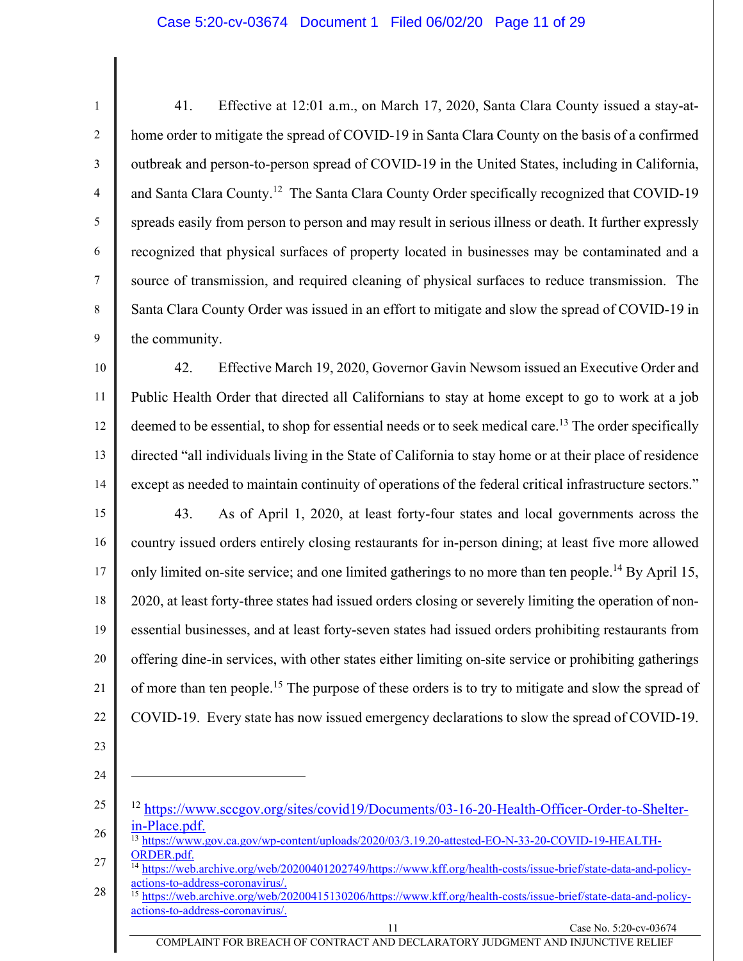#### Case 5:20-cv-03674 Document 1 Filed 06/02/20 Page 11 of 29

1 2 3 4 5 6 7 8 9 41. Effective at 12:01 a.m., on March 17, 2020, Santa Clara County issued a stay-athome order to mitigate the spread of COVID-19 in Santa Clara County on the basis of a confirmed outbreak and person-to-person spread of COVID-19 in the United States, including in California, and Santa Clara County.<sup>12</sup> The Santa Clara County Order specifically recognized that COVID-19 spreads easily from person to person and may result in serious illness or death. It further expressly recognized that physical surfaces of property located in businesses may be contaminated and a source of transmission, and required cleaning of physical surfaces to reduce transmission. The Santa Clara County Order was issued in an effort to mitigate and slow the spread of COVID-19 in the community.

10 11 12 13 14 42. Effective March 19, 2020, Governor Gavin Newsom issued an Executive Order and Public Health Order that directed all Californians to stay at home except to go to work at a job deemed to be essential, to shop for essential needs or to seek medical care.<sup>13</sup> The order specifically directed "all individuals living in the State of California to stay home or at their place of residence except as needed to maintain continuity of operations of the federal critical infrastructure sectors."

15 16 17 18 19 20 21 22 43. As of April 1, 2020, at least forty-four states and local governments across the country issued orders entirely closing restaurants for in-person dining; at least five more allowed only limited on-site service; and one limited gatherings to no more than ten people.<sup>14</sup> By April 15, 2020, at least forty-three states had issued orders closing or severely limiting the operation of nonessential businesses, and at least forty-seven states had issued orders prohibiting restaurants from offering dine-in services, with other states either limiting on-site service or prohibiting gatherings of more than ten people.<sup>15</sup> The purpose of these orders is to try to mitigate and slow the spread of COVID-19. Every state has now issued emergency declarations to slow the spread of COVID-19.

- 23
- 24

<sup>25</sup>  26 <sup>12</sup> https://www.sccgov.org/sites/covid19/Documents/03-16-20-Health-Officer-Order-to-Shelterin-Place.pdf.

<sup>13</sup> https://www.gov.ca.gov/wp-content/uploads/2020/03/3.19.20-attested-EO-N-33-20-COVID-19-HEALTH-ORDER.pdf.

<sup>27</sup>  https://web.archive.org/web/20200401202749/https://www.kff.org/health-costs/issue-brief/state-data-and-policyactions-to-address-coronavirus/.

<sup>28</sup>  <sup>15</sup> https://web.archive.org/web/20200415130206/https://www.kff.org/health-costs/issue-brief/state-data-and-policyactions-to-address-coronavirus/.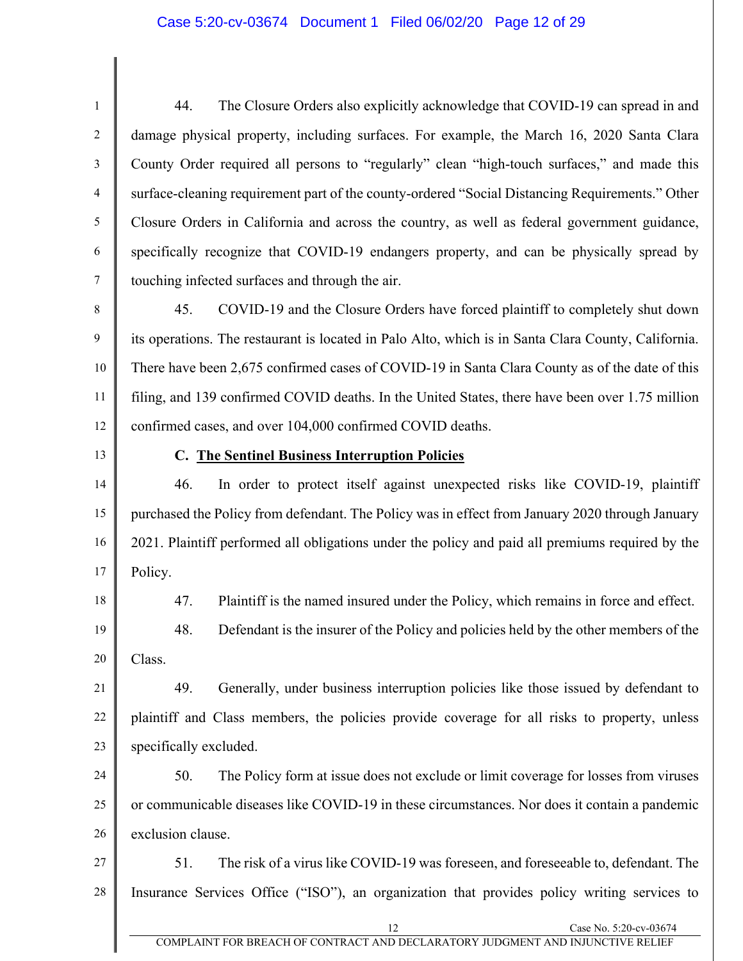#### Case 5:20-cv-03674 Document 1 Filed 06/02/20 Page 12 of 29

1 2 3 4 5 6 7 44. The Closure Orders also explicitly acknowledge that COVID-19 can spread in and damage physical property, including surfaces. For example, the March 16, 2020 Santa Clara County Order required all persons to "regularly" clean "high-touch surfaces," and made this surface-cleaning requirement part of the county-ordered "Social Distancing Requirements." Other Closure Orders in California and across the country, as well as federal government guidance, specifically recognize that COVID-19 endangers property, and can be physically spread by touching infected surfaces and through the air.

8 9 10 11 12 45. COVID-19 and the Closure Orders have forced plaintiff to completely shut down its operations. The restaurant is located in Palo Alto, which is in Santa Clara County, California. There have been 2,675 confirmed cases of COVID-19 in Santa Clara County as of the date of this filing, and 139 confirmed COVID deaths. In the United States, there have been over 1.75 million confirmed cases, and over 104,000 confirmed COVID deaths.

13

#### **C. The Sentinel Business Interruption Policies**

14 15 16 17 46. In order to protect itself against unexpected risks like COVID-19, plaintiff purchased the Policy from defendant. The Policy was in effect from January 2020 through January 2021. Plaintiff performed all obligations under the policy and paid all premiums required by the Policy.

18 19 47. Plaintiff is the named insured under the Policy, which remains in force and effect.

20 48. Defendant is the insurer of the Policy and policies held by the other members of the Class.

21 22 23 49. Generally, under business interruption policies like those issued by defendant to plaintiff and Class members, the policies provide coverage for all risks to property, unless specifically excluded.

24 25 26 50. The Policy form at issue does not exclude or limit coverage for losses from viruses or communicable diseases like COVID-19 in these circumstances. Nor does it contain a pandemic exclusion clause.

27 28 51. The risk of a virus like COVID-19 was foreseen, and foreseeable to, defendant. The Insurance Services Office ("ISO"), an organization that provides policy writing services to

Case No. 5:20-cv-03674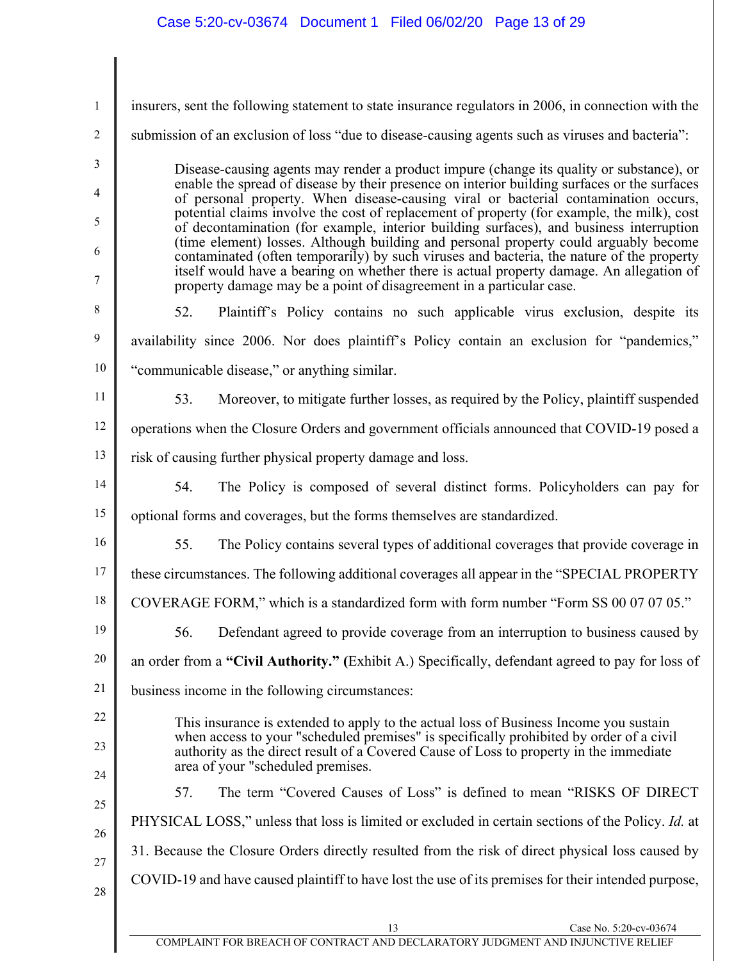| $\mathbf{1}$   | insurers, sent the following statement to state insurance regulators in 2006, in connection with the                                                                                                                   |  |  |
|----------------|------------------------------------------------------------------------------------------------------------------------------------------------------------------------------------------------------------------------|--|--|
| $\overline{c}$ | submission of an exclusion of loss "due to disease-causing agents such as viruses and bacteria":                                                                                                                       |  |  |
| 3              | Disease-causing agents may render a product impure (change its quality or substance), or                                                                                                                               |  |  |
| 4              | enable the spread of disease by their presence on interior building surfaces or the surfaces<br>of personal property. When disease-causing viral or bacterial contamination occurs,                                    |  |  |
| 5              | potential claims involve the cost of replacement of property (for example, the milk), cost<br>of decontamination (for example, interior building surfaces), and business interruption                                  |  |  |
| 6              | (time element) losses. Although building and personal property could arguably become<br>contaminated (often temporarily) by such viruses and bacteria, the nature of the property                                      |  |  |
| 7              | itself would have a bearing on whether there is actual property damage. An allegation of<br>property damage may be a point of disagreement in a particular case.                                                       |  |  |
| 8              | Plaintiff's Policy contains no such applicable virus exclusion, despite its<br>52.                                                                                                                                     |  |  |
| 9              | availability since 2006. Nor does plaintiff's Policy contain an exclusion for "pandemics,"                                                                                                                             |  |  |
| 10             | "communicable disease," or anything similar.                                                                                                                                                                           |  |  |
| 11             | 53.<br>Moreover, to mitigate further losses, as required by the Policy, plaintiff suspended                                                                                                                            |  |  |
| 12             | operations when the Closure Orders and government officials announced that COVID-19 posed a                                                                                                                            |  |  |
| 13             | risk of causing further physical property damage and loss.                                                                                                                                                             |  |  |
| 14             | 54.<br>The Policy is composed of several distinct forms. Policyholders can pay for                                                                                                                                     |  |  |
| 15             | optional forms and coverages, but the forms themselves are standardized.                                                                                                                                               |  |  |
| 16             | 55.<br>The Policy contains several types of additional coverages that provide coverage in                                                                                                                              |  |  |
| 17             | these circumstances. The following additional coverages all appear in the "SPECIAL PROPERTY"                                                                                                                           |  |  |
| 18             | COVERAGE FORM," which is a standardized form with form number "Form SS 00 07 07 05."                                                                                                                                   |  |  |
| 19             | Defendant agreed to provide coverage from an interruption to business caused by<br>56.                                                                                                                                 |  |  |
| 20             | an order from a "Civil Authority." (Exhibit A.) Specifically, defendant agreed to pay for loss of                                                                                                                      |  |  |
| 21             | business income in the following circumstances:                                                                                                                                                                        |  |  |
| 22             | This insurance is extended to apply to the actual loss of Business Income you sustain                                                                                                                                  |  |  |
| 23             | when access to your "scheduled premises" is specifically prohibited by order of a civil<br>authority as the direct result of a Covered Cause of Loss to property in the immediate<br>area of your "scheduled premises. |  |  |
| 24<br>25       | The term "Covered Causes of Loss" is defined to mean "RISKS OF DIRECT"<br>57.                                                                                                                                          |  |  |
| 26             | PHYSICAL LOSS," unless that loss is limited or excluded in certain sections of the Policy. Id. at                                                                                                                      |  |  |
| 27             | 31. Because the Closure Orders directly resulted from the risk of direct physical loss caused by                                                                                                                       |  |  |
| 28             | COVID-19 and have caused plaintiff to have lost the use of its premises for their intended purpose,                                                                                                                    |  |  |
|                | 13<br>Case No. 5:20-cv-03674<br>COMPLAINT FOR BREACH OF CONTRACT AND DECLARATORY JUDGMENT AND INJUNCTIVE RELIEF                                                                                                        |  |  |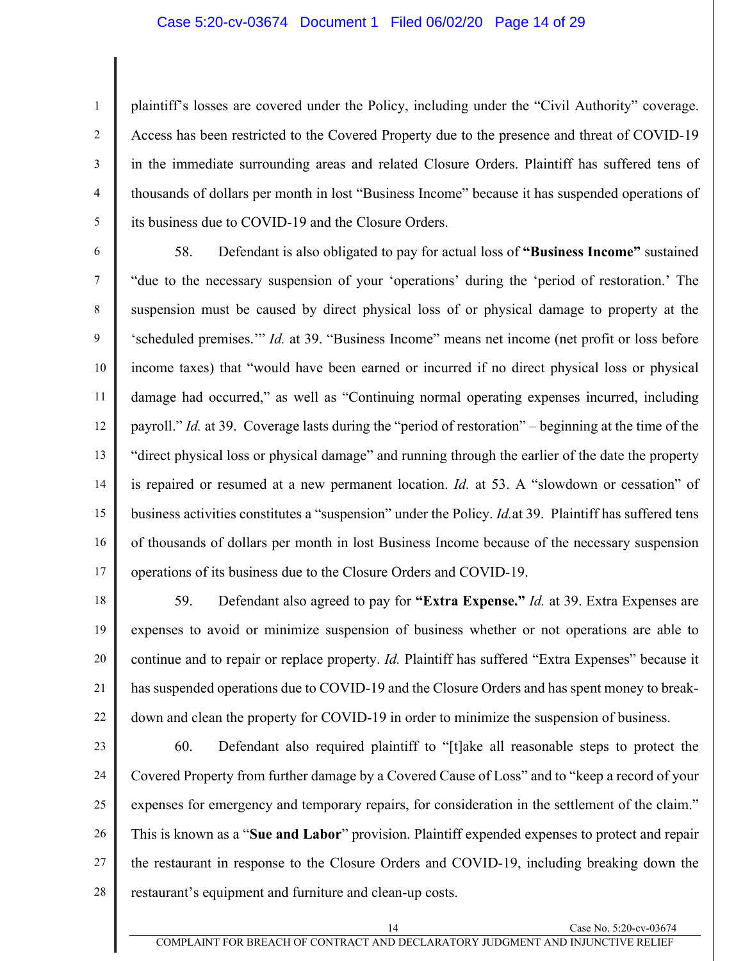#### Case 5:20-cv-03674 Document 1 Filed 06/02/20 Page 14 of 29

1

2

3

4

5

plaintiff's losses are covered under the Policy, including under the "Civil Authority" coverage. Access has been restricted to the Covered Property due to the presence and threat of COVID-19 in the immediate surrounding areas and related Closure Orders. Plaintiff has suffered tens of thousands of dollars per month in lost "Business Income" because it has suspended operations of its business due to COVID-19 and the Closure Orders.

6 7 8 9 10 11 12 13 14 15 16 17 58. Defendant is also obligated to pay for actual loss of **"Business Income"** sustained "due to the necessary suspension of your 'operations' during the 'period of restoration.' The suspension must be caused by direct physical loss of or physical damage to property at the 'scheduled premises.'" *Id.* at 39. "Business Income" means net income (net profit or loss before income taxes) that "would have been earned or incurred if no direct physical loss or physical damage had occurred," as well as "Continuing normal operating expenses incurred, including payroll." *Id.* at 39. Coverage lasts during the "period of restoration" – beginning at the time of the "direct physical loss or physical damage" and running through the earlier of the date the property is repaired or resumed at a new permanent location. *Id.* at 53. A "slowdown or cessation" of business activities constitutes a "suspension" under the Policy. *Id.*at 39.Plaintiff has suffered tens of thousands of dollars per month in lost Business Income because of the necessary suspension operations of its business due to the Closure Orders and COVID-19.

- 18 19 20 21 22 59. Defendant also agreed to pay for **"Extra Expense."** *Id.* at 39. Extra Expenses are expenses to avoid or minimize suspension of business whether or not operations are able to continue and to repair or replace property. *Id.* Plaintiff has suffered "Extra Expenses" because it has suspended operations due to COVID-19 and the Closure Orders and has spent money to breakdown and clean the property for COVID-19 in order to minimize the suspension of business.
- 23 24 25 26 27 28 60. Defendant also required plaintiff to "[t]ake all reasonable steps to protect the Covered Property from further damage by a Covered Cause of Loss" and to "keep a record of your expenses for emergency and temporary repairs, for consideration in the settlement of the claim." This is known as a "**Sue and Labor**" provision. Plaintiff expended expenses to protect and repair the restaurant in response to the Closure Orders and COVID-19, including breaking down the restaurant's equipment and furniture and clean-up costs.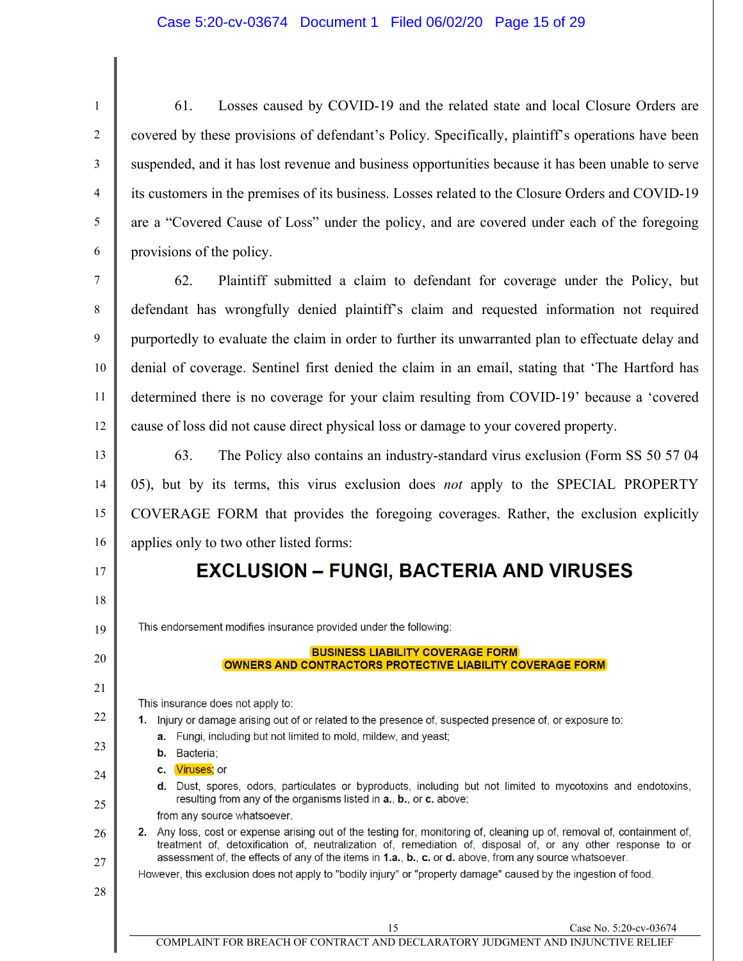1 2 3 4 5 6 61. Losses caused by COVID-19 and the related state and local Closure Orders are covered by these provisions of defendant's Policy. Specifically, plaintiff's operations have been suspended, and it has lost revenue and business opportunities because it has been unable to serve its customers in the premises of its business. Losses related to the Closure Orders and COVID-19 are a "Covered Cause of Loss" under the policy, and are covered under each of the foregoing provisions of the policy.

7 8 9 10 11 12 62. Plaintiff submitted a claim to defendant for coverage under the Policy, but defendant has wrongfully denied plaintiff's claim and requested information not required purportedly to evaluate the claim in order to further its unwarranted plan to effectuate delay and denial of coverage. Sentinel first denied the claim in an email, stating that 'The Hartford has determined there is no coverage for your claim resulting from COVID-19' because a 'covered cause of loss did not cause direct physical loss or damage to your covered property.

13 14 15 16 63. The Policy also contains an industry-standard virus exclusion (Form SS 50 57 04 05), but by its terms, this virus exclusion does *not* apply to the SPECIAL PROPERTY COVERAGE FORM that provides the foregoing coverages. Rather, the exclusion explicitly applies only to two other listed forms:

# **EXCLUSION - FUNGI, BACTERIA AND VIRUSES**

This endorsement modifies insurance provided under the following:

#### **BUSINESS LIABILITY COVERAGE FORM** OWNERS AND CONTRACTORS PROTECTIVE LIABILITY COVERAGE FORM

This insurance does not apply to:

- 1. Injury or damage arising out of or related to the presence of, suspected presence of, or exposure to: a. Fungi, including but not limited to mold, mildew, and yeast;
	- b. Bacteria;
	- c. Viruses: or
	- d. Dust, spores, odors, particulates or byproducts, including but not limited to mycotoxins and endotoxins, resulting from any of the organisms listed in a., b., or c. above;

from any source whatsoever.

#### 2. Any loss, cost or expense arising out of the testing for, monitoring of, cleaning up of, removal of, containment of, treatment of, detoxification of, neutralization of, remediation of, disposal of, or any other response to or assessment of, the effects of any of the items in 1.a., b., c. or d. above, from any source whatsoever.

However, this exclusion does not apply to "bodily injury" or "property damage" caused by the ingestion of food.

17

18

19

20

21

22

23

24

25

26

27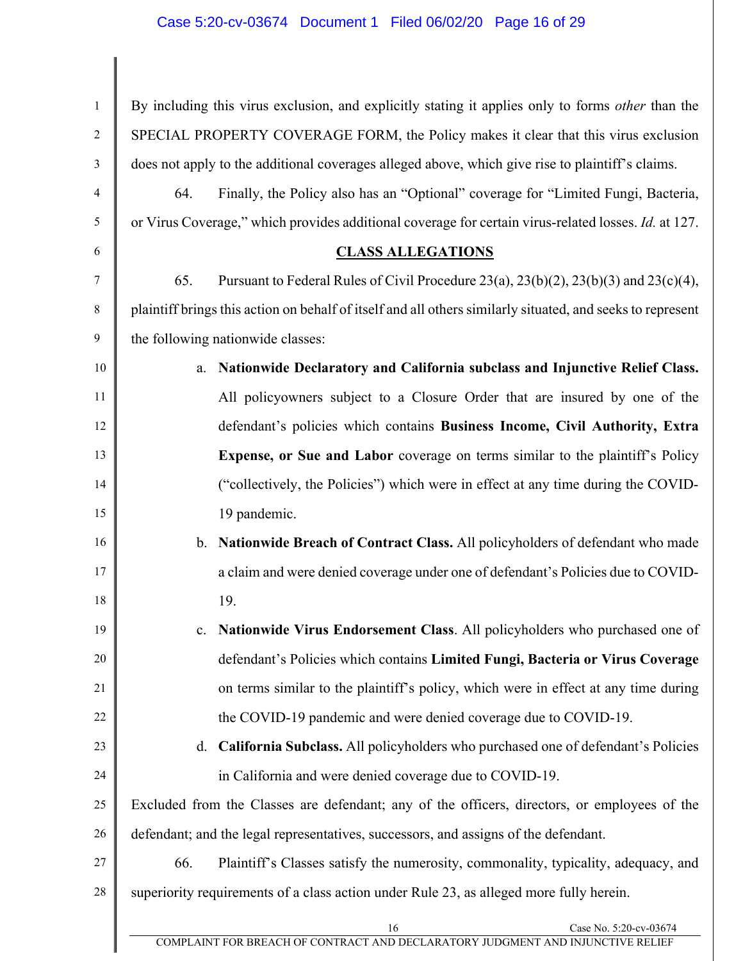16 Case No. 5:20-cv-03674 1 2 3 4 5 6 7 8 9 10 11 12 13 14 15 16 17 18 19 20 21 22 23 24 25 26 27 28 By including this virus exclusion, and explicitly stating it applies only to forms *other* than the SPECIAL PROPERTY COVERAGE FORM, the Policy makes it clear that this virus exclusion does not apply to the additional coverages alleged above, which give rise to plaintiff's claims. 64. Finally, the Policy also has an "Optional" coverage for "Limited Fungi, Bacteria, or Virus Coverage," which provides additional coverage for certain virus-related losses. *Id.* at 127. **CLASS ALLEGATIONS**  65. Pursuant to Federal Rules of Civil Procedure 23(a), 23(b)(2), 23(b)(3) and 23(c)(4), plaintiff brings this action on behalf of itself and all others similarly situated, and seeks to represent the following nationwide classes: a. **Nationwide Declaratory and California subclass and Injunctive Relief Class.**  All policyowners subject to a Closure Order that are insured by one of the defendant's policies which contains **Business Income, Civil Authority, Extra Expense, or Sue and Labor** coverage on terms similar to the plaintiff's Policy ("collectively, the Policies") which were in effect at any time during the COVID-19 pandemic. b. **Nationwide Breach of Contract Class.** All policyholders of defendant who made a claim and were denied coverage under one of defendant's Policies due to COVID-19. c. **Nationwide Virus Endorsement Class**. All policyholders who purchased one of defendant's Policies which contains **Limited Fungi, Bacteria or Virus Coverage** on terms similar to the plaintiff's policy, which were in effect at any time during the COVID-19 pandemic and were denied coverage due to COVID-19. d. **California Subclass.** All policyholders who purchased one of defendant's Policies in California and were denied coverage due to COVID-19. Excluded from the Classes are defendant; any of the officers, directors, or employees of the defendant; and the legal representatives, successors, and assigns of the defendant. 66. Plaintiff's Classes satisfy the numerosity, commonality, typicality, adequacy, and superiority requirements of a class action under Rule 23, as alleged more fully herein.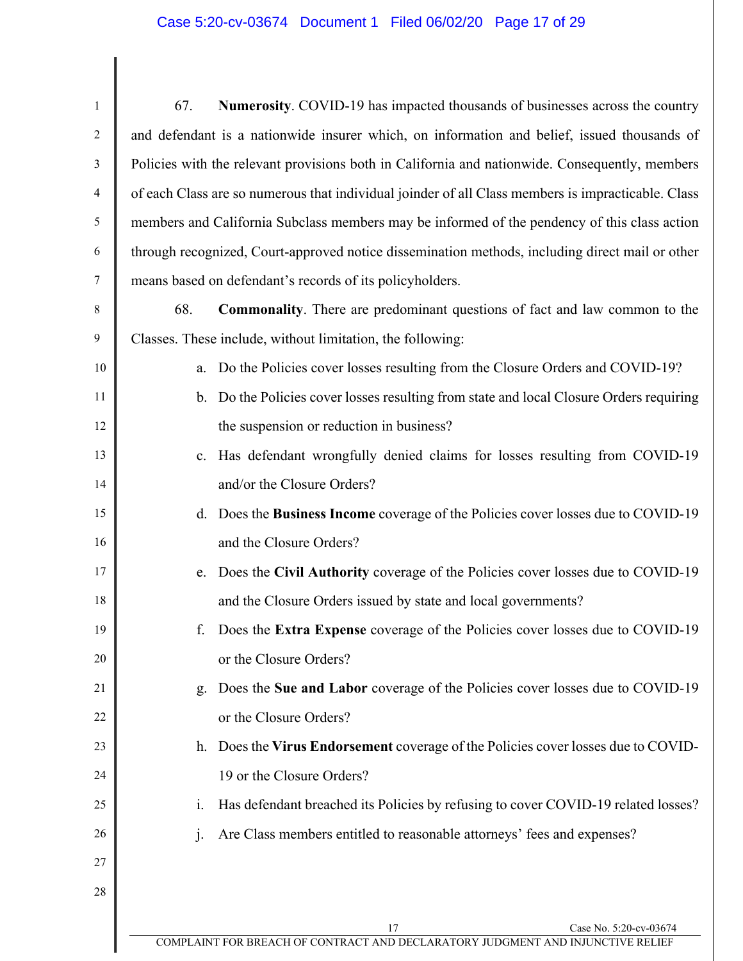| $\mathbf{1}$   | Numerosity. COVID-19 has impacted thousands of businesses across the country<br>67.                             |  |  |
|----------------|-----------------------------------------------------------------------------------------------------------------|--|--|
| $\overline{2}$ | and defendant is a nationwide insurer which, on information and belief, issued thousands of                     |  |  |
| 3              | Policies with the relevant provisions both in California and nationwide. Consequently, members                  |  |  |
| 4              | of each Class are so numerous that individual joinder of all Class members is impracticable. Class              |  |  |
| 5              | members and California Subclass members may be informed of the pendency of this class action                    |  |  |
| 6              | through recognized, Court-approved notice dissemination methods, including direct mail or other                 |  |  |
| $\tau$         | means based on defendant's records of its policyholders.                                                        |  |  |
| 8              | <b>Commonality</b> . There are predominant questions of fact and law common to the<br>68.                       |  |  |
| 9              | Classes. These include, without limitation, the following:                                                      |  |  |
| 10             | Do the Policies cover losses resulting from the Closure Orders and COVID-19?<br>a.                              |  |  |
| 11             | b. Do the Policies cover losses resulting from state and local Closure Orders requiring                         |  |  |
| 12             | the suspension or reduction in business?                                                                        |  |  |
| 13             | Has defendant wrongfully denied claims for losses resulting from COVID-19<br>$c_{\cdot}$                        |  |  |
| 14             | and/or the Closure Orders?                                                                                      |  |  |
| 15             | Does the Business Income coverage of the Policies cover losses due to COVID-19<br>d.                            |  |  |
| 16             | and the Closure Orders?                                                                                         |  |  |
| 17             | Does the Civil Authority coverage of the Policies cover losses due to COVID-19<br>e.                            |  |  |
| 18             | and the Closure Orders issued by state and local governments?                                                   |  |  |
| 19             | Does the Extra Expense coverage of the Policies cover losses due to COVID-19<br>f.                              |  |  |
| 20             | or the Closure Orders?                                                                                          |  |  |
| 21             | Does the Sue and Labor coverage of the Policies cover losses due to COVID-19<br>g.                              |  |  |
| 22             | or the Closure Orders?                                                                                          |  |  |
| 23             | Does the Virus Endorsement coverage of the Policies cover losses due to COVID-<br>h.                            |  |  |
| 24             | 19 or the Closure Orders?                                                                                       |  |  |
| 25             | Has defendant breached its Policies by refusing to cover COVID-19 related losses?<br>i.                         |  |  |
| 26             | Are Class members entitled to reasonable attorneys' fees and expenses?<br>$\mathbf{i}$ .                        |  |  |
| 27             |                                                                                                                 |  |  |
| 28             |                                                                                                                 |  |  |
|                | 17<br>Case No. 5:20-cv-03674<br>COMPLAINT FOR BREACH OF CONTRACT AND DECLARATORY JUDGMENT AND INJUNCTIVE RELIEF |  |  |
|                |                                                                                                                 |  |  |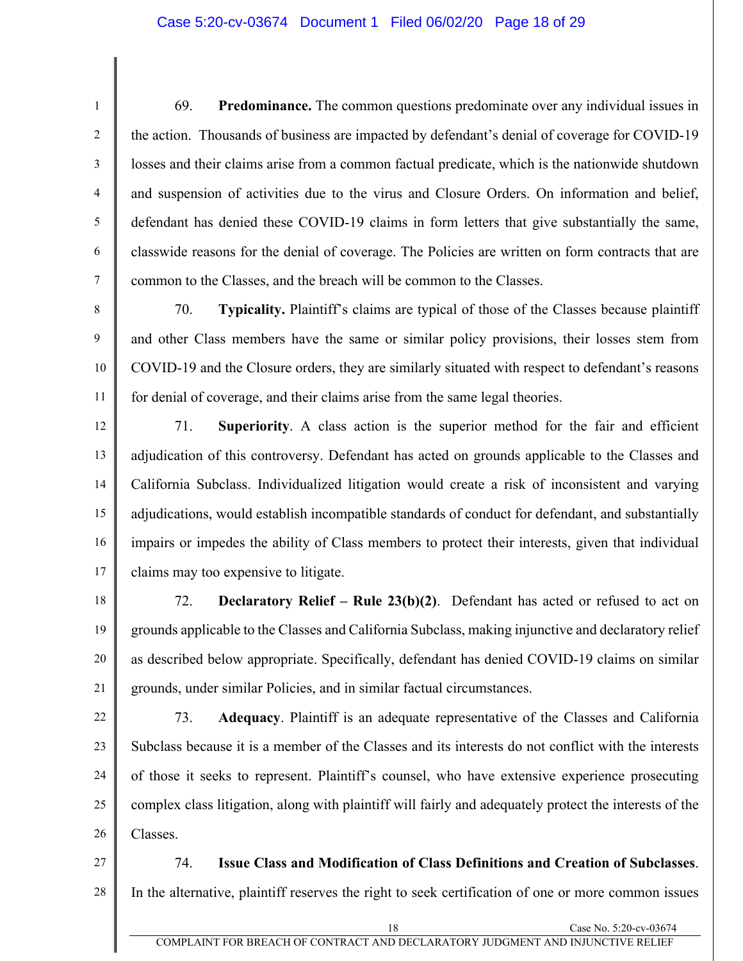#### Case 5:20-cv-03674 Document 1 Filed 06/02/20 Page 18 of 29

1

2

3

4

5

6

7

8

9

69. **Predominance.** The common questions predominate over any individual issues in the action. Thousands of business are impacted by defendant's denial of coverage for COVID-19 losses and their claims arise from a common factual predicate, which is the nationwide shutdown and suspension of activities due to the virus and Closure Orders. On information and belief, defendant has denied these COVID-19 claims in form letters that give substantially the same, classwide reasons for the denial of coverage. The Policies are written on form contracts that are common to the Classes, and the breach will be common to the Classes.

10 11 70. **Typicality.** Plaintiff's claims are typical of those of the Classes because plaintiff and other Class members have the same or similar policy provisions, their losses stem from COVID-19 and the Closure orders, they are similarly situated with respect to defendant's reasons for denial of coverage, and their claims arise from the same legal theories.

12 13 14 15 16 17 71. **Superiority**. A class action is the superior method for the fair and efficient adjudication of this controversy. Defendant has acted on grounds applicable to the Classes and California Subclass. Individualized litigation would create a risk of inconsistent and varying adjudications, would establish incompatible standards of conduct for defendant, and substantially impairs or impedes the ability of Class members to protect their interests, given that individual claims may too expensive to litigate.

18 19 20 21 72. **Declaratory Relief – Rule 23(b)(2)**. Defendant has acted or refused to act on grounds applicable to the Classes and California Subclass, making injunctive and declaratory relief as described below appropriate. Specifically, defendant has denied COVID-19 claims on similar grounds, under similar Policies, and in similar factual circumstances.

22 23 24 25 26 73. **Adequacy**. Plaintiff is an adequate representative of the Classes and California Subclass because it is a member of the Classes and its interests do not conflict with the interests of those it seeks to represent. Plaintiff's counsel, who have extensive experience prosecuting complex class litigation, along with plaintiff will fairly and adequately protect the interests of the Classes.

27 28 74. **Issue Class and Modification of Class Definitions and Creation of Subclasses**. In the alternative, plaintiff reserves the right to seek certification of one or more common issues

COMPLAINT FOR BREACH OF CONTRACT AND DECLARATORY JUDGMENT AND INJUNCTIVE RELIEF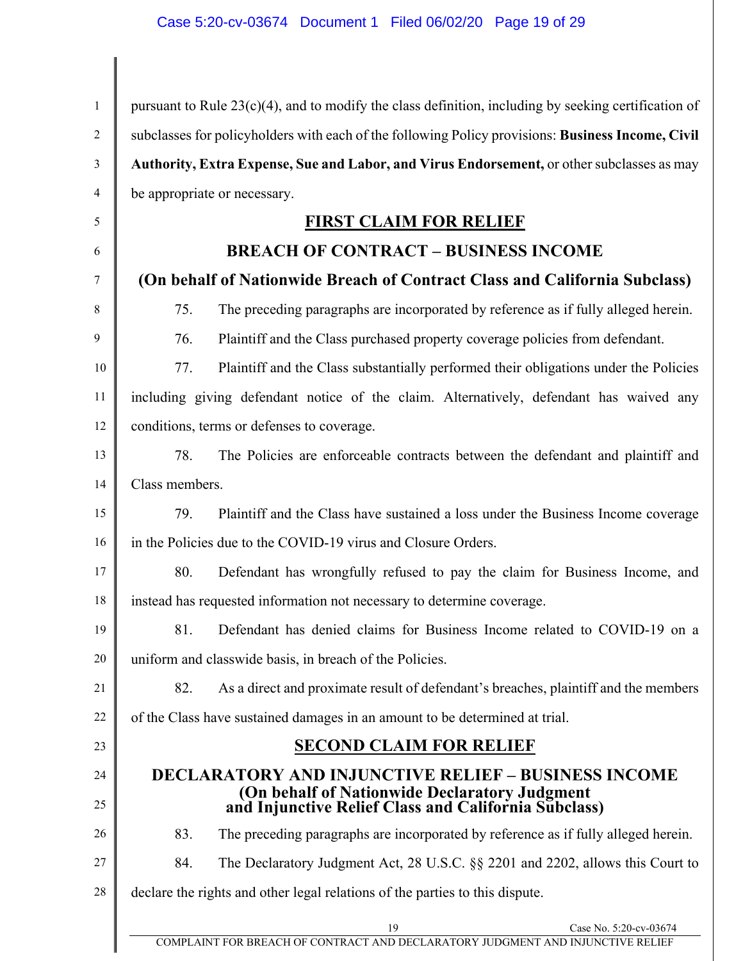| $\mathbf{1}$ | pursuant to Rule $23(c)(4)$ , and to modify the class definition, including by seeking certification of                                     |  |  |
|--------------|---------------------------------------------------------------------------------------------------------------------------------------------|--|--|
| 2            | subclasses for policyholders with each of the following Policy provisions: Business Income, Civil                                           |  |  |
| 3            | Authority, Extra Expense, Sue and Labor, and Virus Endorsement, or other subclasses as may                                                  |  |  |
| 4            | be appropriate or necessary.                                                                                                                |  |  |
| 5            | <b>FIRST CLAIM FOR RELIEF</b>                                                                                                               |  |  |
| 6            | <b>BREACH OF CONTRACT - BUSINESS INCOME</b>                                                                                                 |  |  |
| 7            | (On behalf of Nationwide Breach of Contract Class and California Subclass)                                                                  |  |  |
| 8            | 75.<br>The preceding paragraphs are incorporated by reference as if fully alleged herein.                                                   |  |  |
| 9            | 76.<br>Plaintiff and the Class purchased property coverage policies from defendant.                                                         |  |  |
| 10           | 77.<br>Plaintiff and the Class substantially performed their obligations under the Policies                                                 |  |  |
| 11           | including giving defendant notice of the claim. Alternatively, defendant has waived any                                                     |  |  |
| 12           | conditions, terms or defenses to coverage.                                                                                                  |  |  |
| 13           | The Policies are enforceable contracts between the defendant and plaintiff and<br>78.                                                       |  |  |
| 14           | Class members.                                                                                                                              |  |  |
| 15           | 79.<br>Plaintiff and the Class have sustained a loss under the Business Income coverage                                                     |  |  |
| 16           | in the Policies due to the COVID-19 virus and Closure Orders.                                                                               |  |  |
| 17           | 80.<br>Defendant has wrongfully refused to pay the claim for Business Income, and                                                           |  |  |
| 18           | instead has requested information not necessary to determine coverage.                                                                      |  |  |
| 19           | Defendant has denied claims for Business Income related to COVID-19 on a<br>81.                                                             |  |  |
| 20           | uniform and classwide basis, in breach of the Policies.                                                                                     |  |  |
| 21           | As a direct and proximate result of defendant's breaches, plaintiff and the members<br>82.                                                  |  |  |
| 22           | of the Class have sustained damages in an amount to be determined at trial.                                                                 |  |  |
| 23           | <b>SECOND CLAIM FOR RELIEF</b>                                                                                                              |  |  |
| 24           | <b>DECLARATORY AND INJUNCTIVE RELIEF - BUSINESS INCOME</b>                                                                                  |  |  |
| 25           | (On behalf of Nationwide Declaratory Judgment<br>and Injunctive Relief Class and California Subclass)                                       |  |  |
| 26           | The preceding paragraphs are incorporated by reference as if fully alleged herein.<br>83.                                                   |  |  |
| 27           | The Declaratory Judgment Act, 28 U.S.C. §§ 2201 and 2202, allows this Court to<br>84.                                                       |  |  |
| 28           | declare the rights and other legal relations of the parties to this dispute.                                                                |  |  |
|              | $$\sf 19$$ Case No. 5:20-cv-03674 COMPLAINT FOR BREACH OF CONTRACT AND DECLARATORY JUDGMENT AND INJUNCTIVE RELIEF<br>Case No. 5:20-cv-03674 |  |  |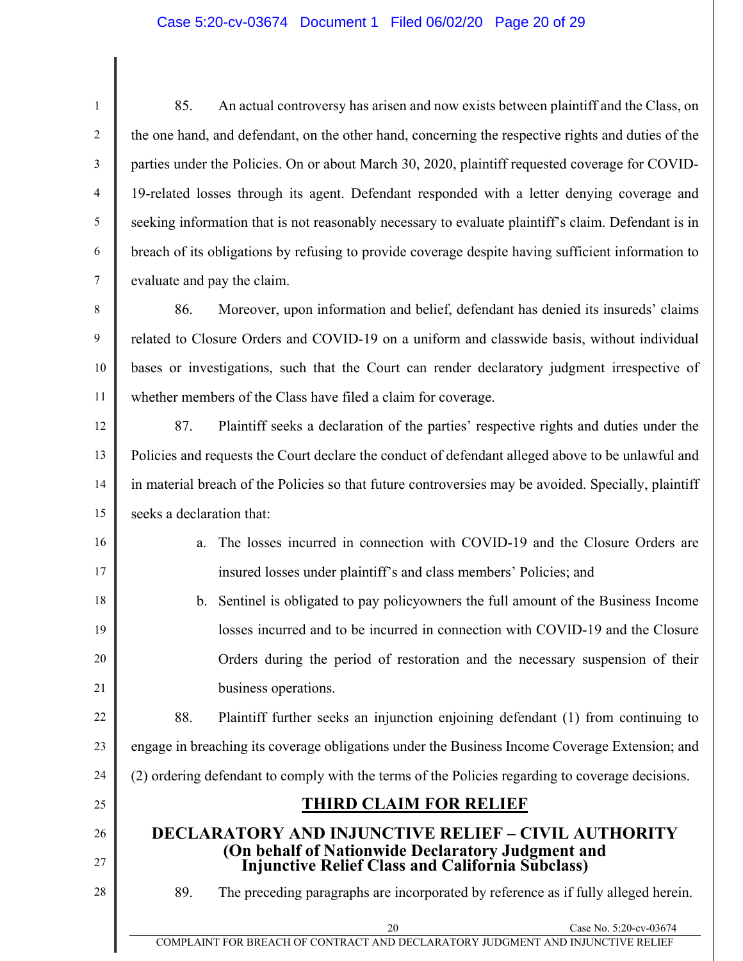#### Case 5:20-cv-03674 Document 1 Filed 06/02/20 Page 20 of 29

1 2 3 4 5 6 7 85. An actual controversy has arisen and now exists between plaintiff and the Class, on the one hand, and defendant, on the other hand, concerning the respective rights and duties of the parties under the Policies. On or about March 30, 2020, plaintiff requested coverage for COVID-19-related losses through its agent. Defendant responded with a letter denying coverage and seeking information that is not reasonably necessary to evaluate plaintiff's claim. Defendant is in breach of its obligations by refusing to provide coverage despite having sufficient information to evaluate and pay the claim.

8 9 10 11 86. Moreover, upon information and belief, defendant has denied its insureds' claims related to Closure Orders and COVID-19 on a uniform and classwide basis, without individual bases or investigations, such that the Court can render declaratory judgment irrespective of whether members of the Class have filed a claim for coverage.

12 13 14 15 87. Plaintiff seeks a declaration of the parties' respective rights and duties under the Policies and requests the Court declare the conduct of defendant alleged above to be unlawful and in material breach of the Policies so that future controversies may be avoided. Specially, plaintiff seeks a declaration that:

> a. The losses incurred in connection with COVID-19 and the Closure Orders are insured losses under plaintiff's and class members' Policies; and

b. Sentinel is obligated to pay policyowners the full amount of the Business Income losses incurred and to be incurred in connection with COVID-19 and the Closure Orders during the period of restoration and the necessary suspension of their business operations.

22 23 88. Plaintiff further seeks an injunction enjoining defendant (1) from continuing to engage in breaching its coverage obligations under the Business Income Coverage Extension; and

24 (2) ordering defendant to comply with the terms of the Policies regarding to coverage decisions.

### **THIRD CLAIM FOR RELIEF**

# **DECLARATORY AND INJUNCTIVE RELIEF – CIVIL AUTHORITY (On behalf of Nationwide Declaratory Judgment and Injunctive Relief Class and California Subclass)**

28

25

26

27

16

17

18

19

20

21

89. The preceding paragraphs are incorporated by reference as if fully alleged herein.

20 Case No. 5:20-cv-03674

COMPLAINT FOR BREACH OF CONTRACT AND DECLARATORY JUDGMENT AND INJUNCTIVE RELIEF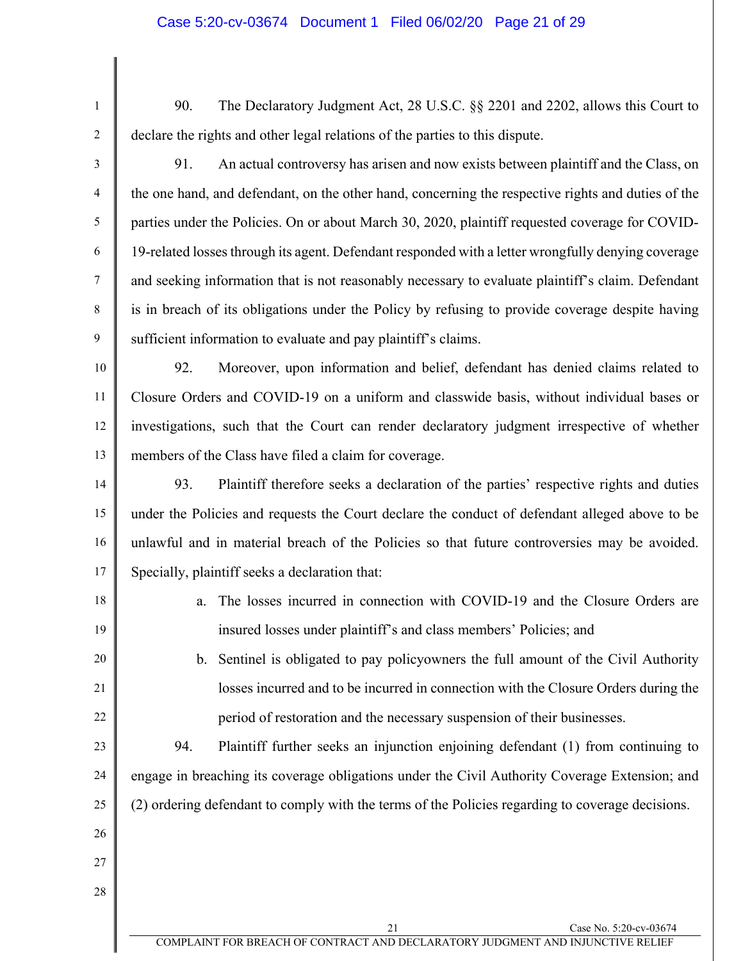1 2

90. The Declaratory Judgment Act, 28 U.S.C. §§ 2201 and 2202, allows this Court to declare the rights and other legal relations of the parties to this dispute.

3

4

5

6

7

8

9

91. An actual controversy has arisen and now exists between plaintiff and the Class, on the one hand, and defendant, on the other hand, concerning the respective rights and duties of the parties under the Policies. On or about March 30, 2020, plaintiff requested coverage for COVID-19-related losses through its agent. Defendant responded with a letter wrongfully denying coverage and seeking information that is not reasonably necessary to evaluate plaintiff's claim. Defendant is in breach of its obligations under the Policy by refusing to provide coverage despite having sufficient information to evaluate and pay plaintiff's claims.

10 11 12 13 92. Moreover, upon information and belief, defendant has denied claims related to Closure Orders and COVID-19 on a uniform and classwide basis, without individual bases or investigations, such that the Court can render declaratory judgment irrespective of whether members of the Class have filed a claim for coverage.

14 15 16 17 93. Plaintiff therefore seeks a declaration of the parties' respective rights and duties under the Policies and requests the Court declare the conduct of defendant alleged above to be unlawful and in material breach of the Policies so that future controversies may be avoided. Specially, plaintiff seeks a declaration that:

18

19

20

21

22

- a. The losses incurred in connection with COVID-19 and the Closure Orders are insured losses under plaintiff's and class members' Policies; and
- b. Sentinel is obligated to pay policyowners the full amount of the Civil Authority losses incurred and to be incurred in connection with the Closure Orders during the period of restoration and the necessary suspension of their businesses.

23 24 25 94. Plaintiff further seeks an injunction enjoining defendant (1) from continuing to engage in breaching its coverage obligations under the Civil Authority Coverage Extension; and (2) ordering defendant to comply with the terms of the Policies regarding to coverage decisions.

- 26
- 27

28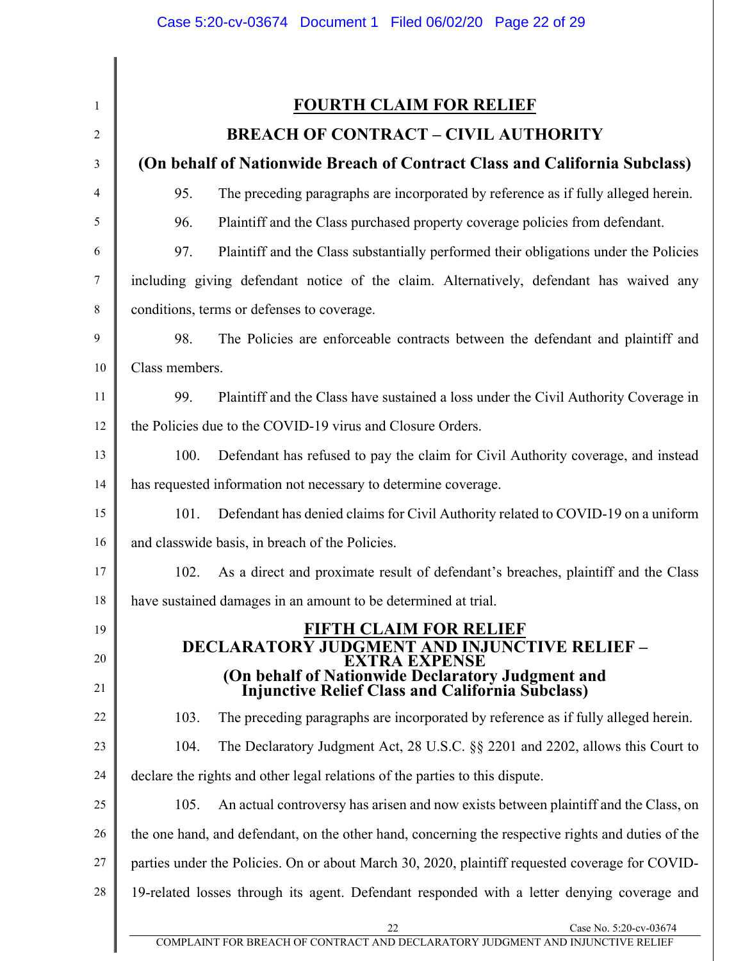| $\mathbf{1}$   | <b>FOURTH CLAIM FOR RELIEF</b>                                                                                                |  |  |
|----------------|-------------------------------------------------------------------------------------------------------------------------------|--|--|
| $\overline{2}$ | <b>BREACH OF CONTRACT - CIVIL AUTHORITY</b>                                                                                   |  |  |
| 3              | (On behalf of Nationwide Breach of Contract Class and California Subclass)                                                    |  |  |
| 4              | 95.<br>The preceding paragraphs are incorporated by reference as if fully alleged herein.                                     |  |  |
| 5              | Plaintiff and the Class purchased property coverage policies from defendant.<br>96.                                           |  |  |
| 6              | 97.<br>Plaintiff and the Class substantially performed their obligations under the Policies                                   |  |  |
| 7              | including giving defendant notice of the claim. Alternatively, defendant has waived any                                       |  |  |
| 8              | conditions, terms or defenses to coverage.                                                                                    |  |  |
| 9              | 98.<br>The Policies are enforceable contracts between the defendant and plaintiff and                                         |  |  |
| 10             | Class members.                                                                                                                |  |  |
| 11             | 99.<br>Plaintiff and the Class have sustained a loss under the Civil Authority Coverage in                                    |  |  |
| 12             | the Policies due to the COVID-19 virus and Closure Orders.                                                                    |  |  |
| 13             | 100.<br>Defendant has refused to pay the claim for Civil Authority coverage, and instead                                      |  |  |
| 14             | has requested information not necessary to determine coverage.                                                                |  |  |
| 15             | Defendant has denied claims for Civil Authority related to COVID-19 on a uniform<br>101.                                      |  |  |
| 16             | and classwide basis, in breach of the Policies.                                                                               |  |  |
| 17             | As a direct and proximate result of defendant's breaches, plaintiff and the Class<br>102.                                     |  |  |
| 18             | have sustained damages in an amount to be determined at trial.                                                                |  |  |
| 19<br>20       | <b>FIFTH CLAIM FOR RELIEF</b><br><b>DECLARATORY JUDGMENT AND INJUNCTIVE RELIEF -</b>                                          |  |  |
| 21             | <b>EXTRA EXPENSE</b><br>(On behalf of Nationwide Declaratory Judgment and<br>Injunctive Relief Class and California Subclass) |  |  |
| 22             | The preceding paragraphs are incorporated by reference as if fully alleged herein.<br>103.                                    |  |  |
| 23             | The Declaratory Judgment Act, 28 U.S.C. §§ 2201 and 2202, allows this Court to<br>104.                                        |  |  |
| 24             | declare the rights and other legal relations of the parties to this dispute.                                                  |  |  |
| 25             | An actual controversy has arisen and now exists between plaintiff and the Class, on<br>105.                                   |  |  |
| 26             | the one hand, and defendant, on the other hand, concerning the respective rights and duties of the                            |  |  |
| 27             | parties under the Policies. On or about March 30, 2020, plaintiff requested coverage for COVID-                               |  |  |
| 28             | 19-related losses through its agent. Defendant responded with a letter denying coverage and                                   |  |  |
|                | Case No. 5:20-cv-03674<br>22<br>COMPLAINT FOR BREACH OF CONTRACT AND DECLARATORY JUDGMENT AND INJUNCTIVE RELIEF               |  |  |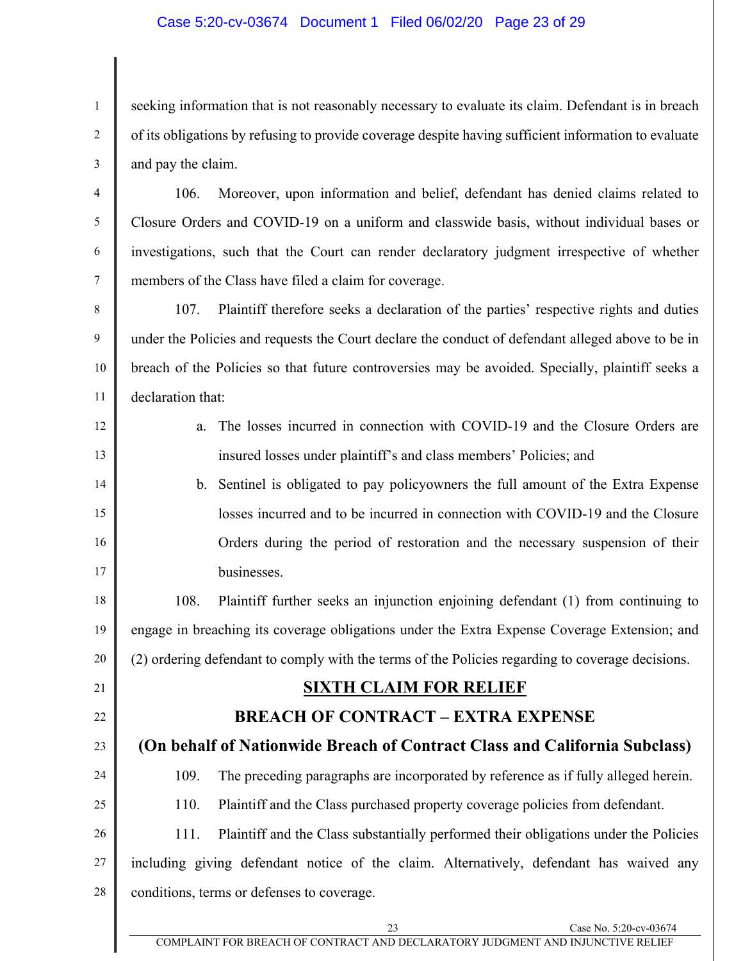#### Case 5:20-cv-03674 Document 1 Filed 06/02/20 Page 23 of 29

seeking information that is not reasonably necessary to evaluate its claim. Defendant is in breach of its obligations by refusing to provide coverage despite having sufficient information to evaluate and pay the claim.

4 5 6 7 106. Moreover, upon information and belief, defendant has denied claims related to Closure Orders and COVID-19 on a uniform and classwide basis, without individual bases or investigations, such that the Court can render declaratory judgment irrespective of whether members of the Class have filed a claim for coverage.

8 9 10 11 107. Plaintiff therefore seeks a declaration of the parties' respective rights and duties under the Policies and requests the Court declare the conduct of defendant alleged above to be in breach of the Policies so that future controversies may be avoided. Specially, plaintiff seeks a declaration that:

12

13

14

15

16

17

21

22

23

1

2

3

a. The losses incurred in connection with COVID-19 and the Closure Orders are insured losses under plaintiff's and class members' Policies; and

b. Sentinel is obligated to pay policyowners the full amount of the Extra Expense losses incurred and to be incurred in connection with COVID-19 and the Closure Orders during the period of restoration and the necessary suspension of their businesses.

18 19 20 108. Plaintiff further seeks an injunction enjoining defendant (1) from continuing to engage in breaching its coverage obligations under the Extra Expense Coverage Extension; and (2) ordering defendant to comply with the terms of the Policies regarding to coverage decisions.

### **SIXTH CLAIM FOR RELIEF**

### **BREACH OF CONTRACT – EXTRA EXPENSE**

## **(On behalf of Nationwide Breach of Contract Class and California Subclass)**

24 25 109. The preceding paragraphs are incorporated by reference as if fully alleged herein.

110. Plaintiff and the Class purchased property coverage policies from defendant.

26 27 28 111. Plaintiff and the Class substantially performed their obligations under the Policies including giving defendant notice of the claim. Alternatively, defendant has waived any conditions, terms or defenses to coverage.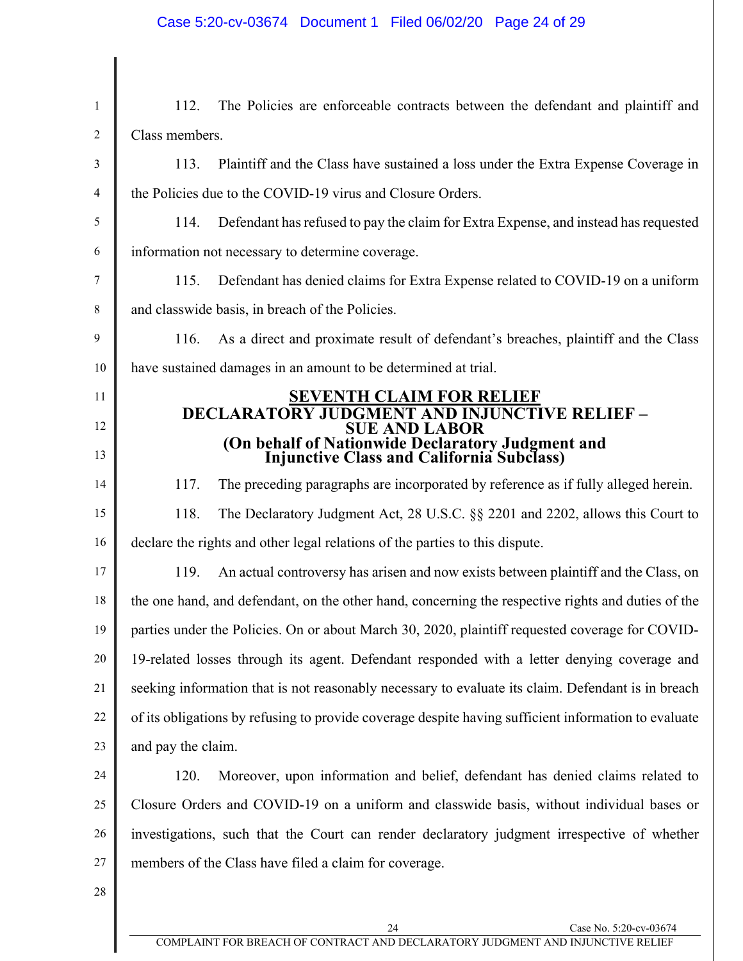### Case 5:20-cv-03674 Document 1 Filed 06/02/20 Page 24 of 29

| $\mathbf{1}$ | The Policies are enforceable contracts between the defendant and plaintiff and<br>112.               |  |  |
|--------------|------------------------------------------------------------------------------------------------------|--|--|
| 2            | Class members.                                                                                       |  |  |
| 3            | Plaintiff and the Class have sustained a loss under the Extra Expense Coverage in<br>113.            |  |  |
| 4            | the Policies due to the COVID-19 virus and Closure Orders.                                           |  |  |
| 5            | Defendant has refused to pay the claim for Extra Expense, and instead has requested<br>114.          |  |  |
| 6            | information not necessary to determine coverage.                                                     |  |  |
| 7            | Defendant has denied claims for Extra Expense related to COVID-19 on a uniform<br>115.               |  |  |
| 8            | and classwide basis, in breach of the Policies.                                                      |  |  |
| 9            | As a direct and proximate result of defendant's breaches, plaintiff and the Class<br>116.            |  |  |
| 10           | have sustained damages in an amount to be determined at trial.                                       |  |  |
| 11           | <b>SEVENTH CLAIM FOR RELIEF</b>                                                                      |  |  |
| 12           | <b>DECLARATORY JUDGMENT AND INJUNCTIVE RELIEF -</b><br><b>SUE AND LABOR</b>                          |  |  |
| 13           | (On behalf of Nationwide Declaratory Judgment and<br>Injunctive Class and California Subclass)       |  |  |
| 14           | The preceding paragraphs are incorporated by reference as if fully alleged herein.<br>117.           |  |  |
| 15           | 118.<br>The Declaratory Judgment Act, 28 U.S.C. §§ 2201 and 2202, allows this Court to               |  |  |
| 16           | declare the rights and other legal relations of the parties to this dispute.                         |  |  |
| 17           | An actual controversy has arisen and now exists between plaintiff and the Class, on<br>119.          |  |  |
| 18           | the one hand, and defendant, on the other hand, concerning the respective rights and duties of the   |  |  |
| 19           | parties under the Policies. On or about March 30, 2020, plaintiff requested coverage for COVID-      |  |  |
| 20           | 19-related losses through its agent. Defendant responded with a letter denying coverage and          |  |  |
| 21           | seeking information that is not reasonably necessary to evaluate its claim. Defendant is in breach   |  |  |
| 22           | of its obligations by refusing to provide coverage despite having sufficient information to evaluate |  |  |
| 23           | and pay the claim.                                                                                   |  |  |
| 24           | Moreover, upon information and belief, defendant has denied claims related to<br>120.                |  |  |
| 25           | Closure Orders and COVID-19 on a uniform and classwide basis, without individual bases or            |  |  |
| 26           | investigations, such that the Court can render declaratory judgment irrespective of whether          |  |  |
| 27           | members of the Class have filed a claim for coverage.                                                |  |  |
| 28           |                                                                                                      |  |  |
|              |                                                                                                      |  |  |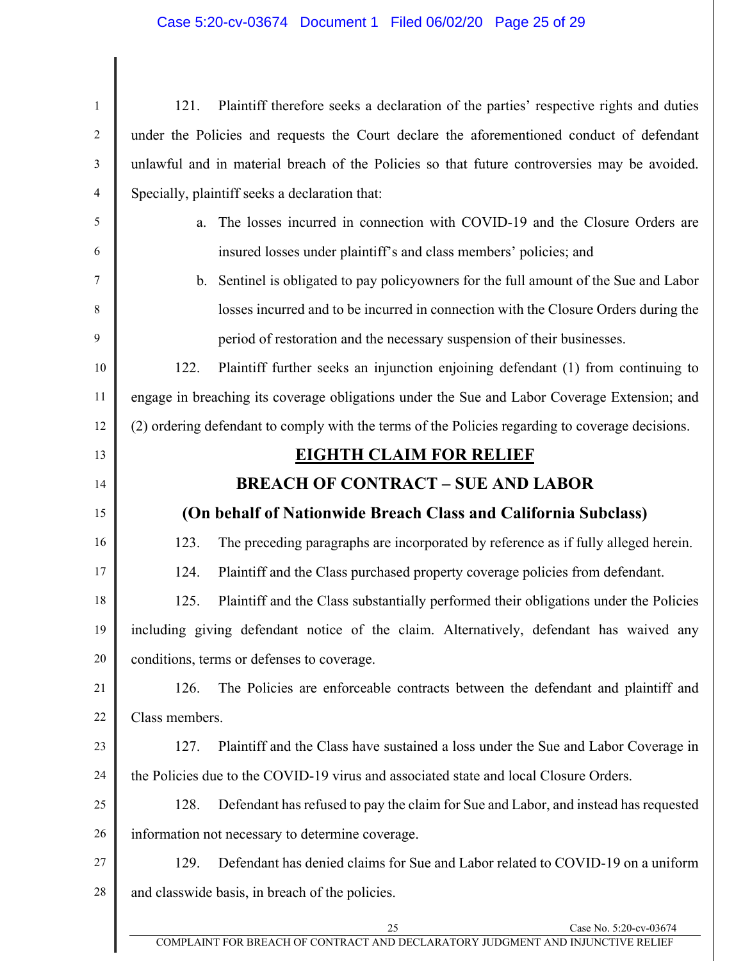## Case 5:20-cv-03674 Document 1 Filed 06/02/20 Page 25 of 29

 $\overline{\phantom{a}}$  $\parallel$ 

 $\parallel$ 

| $\,1$          | 121.                                                                                         | Plaintiff therefore seeks a declaration of the parties' respective rights and duties             |                        |
|----------------|----------------------------------------------------------------------------------------------|--------------------------------------------------------------------------------------------------|------------------------|
| $\mathbf{2}$   | under the Policies and requests the Court declare the aforementioned conduct of defendant    |                                                                                                  |                        |
| 3              | unlawful and in material breach of the Policies so that future controversies may be avoided. |                                                                                                  |                        |
| $\overline{4}$ |                                                                                              | Specially, plaintiff seeks a declaration that:                                                   |                        |
| 5              | a.                                                                                           | The losses incurred in connection with COVID-19 and the Closure Orders are                       |                        |
| 6              |                                                                                              | insured losses under plaintiff's and class members' policies; and                                |                        |
| 7              |                                                                                              | b. Sentinel is obligated to pay policyowners for the full amount of the Sue and Labor            |                        |
| 8              |                                                                                              | losses incurred and to be incurred in connection with the Closure Orders during the              |                        |
| 9              |                                                                                              | period of restoration and the necessary suspension of their businesses.                          |                        |
| 10             | 122.                                                                                         | Plaintiff further seeks an injunction enjoining defendant (1) from continuing to                 |                        |
| 11             |                                                                                              | engage in breaching its coverage obligations under the Sue and Labor Coverage Extension; and     |                        |
| 12             |                                                                                              | (2) ordering defendant to comply with the terms of the Policies regarding to coverage decisions. |                        |
| 13             |                                                                                              | <b>EIGHTH CLAIM FOR RELIEF</b>                                                                   |                        |
| 14             |                                                                                              | <b>BREACH OF CONTRACT - SUE AND LABOR</b>                                                        |                        |
| 15             |                                                                                              | (On behalf of Nationwide Breach Class and California Subclass)                                   |                        |
| 16             | 123.                                                                                         | The preceding paragraphs are incorporated by reference as if fully alleged herein.               |                        |
| 17             | 124.                                                                                         | Plaintiff and the Class purchased property coverage policies from defendant.                     |                        |
| 18             | 125.                                                                                         | Plaintiff and the Class substantially performed their obligations under the Policies             |                        |
| 19             | including giving defendant notice of the claim. Alternatively, defendant has waived any      |                                                                                                  |                        |
| 20             | conditions, terms or defenses to coverage.                                                   |                                                                                                  |                        |
| 21             | 126.                                                                                         | The Policies are enforceable contracts between the defendant and plaintiff and                   |                        |
| 22             | Class members.                                                                               |                                                                                                  |                        |
| 23             | 127.                                                                                         | Plaintiff and the Class have sustained a loss under the Sue and Labor Coverage in                |                        |
| 24             | the Policies due to the COVID-19 virus and associated state and local Closure Orders.        |                                                                                                  |                        |
| 25             | 128.                                                                                         | Defendant has refused to pay the claim for Sue and Labor, and instead has requested              |                        |
| 26             |                                                                                              | information not necessary to determine coverage.                                                 |                        |
| 27             | 129.                                                                                         | Defendant has denied claims for Sue and Labor related to COVID-19 on a uniform                   |                        |
| 28             | and classwide basis, in breach of the policies.                                              |                                                                                                  |                        |
|                |                                                                                              | 25                                                                                               | Case No. 5:20-cv-03674 |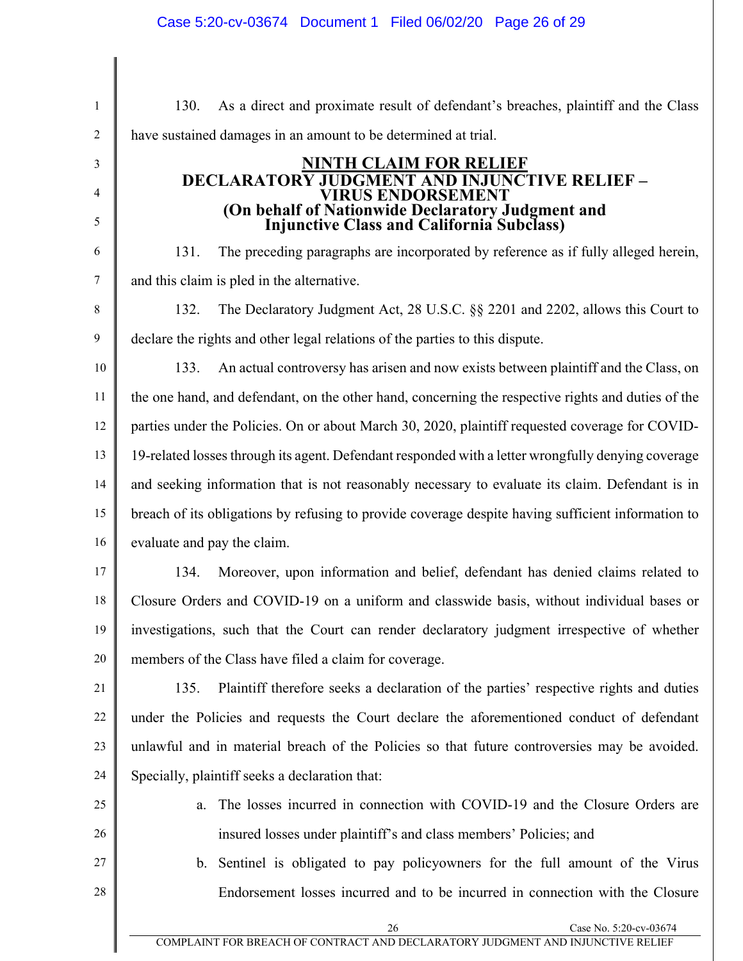26 Case No. 5:20-cv-03674 1 2 3 4 5 6 7 8 9 10 11 12 13 14 15 16 17 18 19 20 21 22 23 24 25 26 27 28 130. As a direct and proximate result of defendant's breaches, plaintiff and the Class have sustained damages in an amount to be determined at trial. **NINTH CLAIM FOR RELIEF DECLARATORY JUDGMENT AND INJUNCTIVE RELIEF – VIRUS ENDORSEMENT (On behalf of Nationwide Declaratory Judgment and Injunctive Class and California Subclass)**  131. The preceding paragraphs are incorporated by reference as if fully alleged herein, and this claim is pled in the alternative. 132. The Declaratory Judgment Act, 28 U.S.C. §§ 2201 and 2202, allows this Court to declare the rights and other legal relations of the parties to this dispute. 133. An actual controversy has arisen and now exists between plaintiff and the Class, on the one hand, and defendant, on the other hand, concerning the respective rights and duties of the parties under the Policies. On or about March 30, 2020, plaintiff requested coverage for COVID-19-related losses through its agent. Defendant responded with a letter wrongfully denying coverage and seeking information that is not reasonably necessary to evaluate its claim. Defendant is in breach of its obligations by refusing to provide coverage despite having sufficient information to evaluate and pay the claim. 134. Moreover, upon information and belief, defendant has denied claims related to Closure Orders and COVID-19 on a uniform and classwide basis, without individual bases or investigations, such that the Court can render declaratory judgment irrespective of whether members of the Class have filed a claim for coverage. 135. Plaintiff therefore seeks a declaration of the parties' respective rights and duties under the Policies and requests the Court declare the aforementioned conduct of defendant unlawful and in material breach of the Policies so that future controversies may be avoided. Specially, plaintiff seeks a declaration that: a. The losses incurred in connection with COVID-19 and the Closure Orders are insured losses under plaintiff's and class members' Policies; and b. Sentinel is obligated to pay policyowners for the full amount of the Virus Endorsement losses incurred and to be incurred in connection with the Closure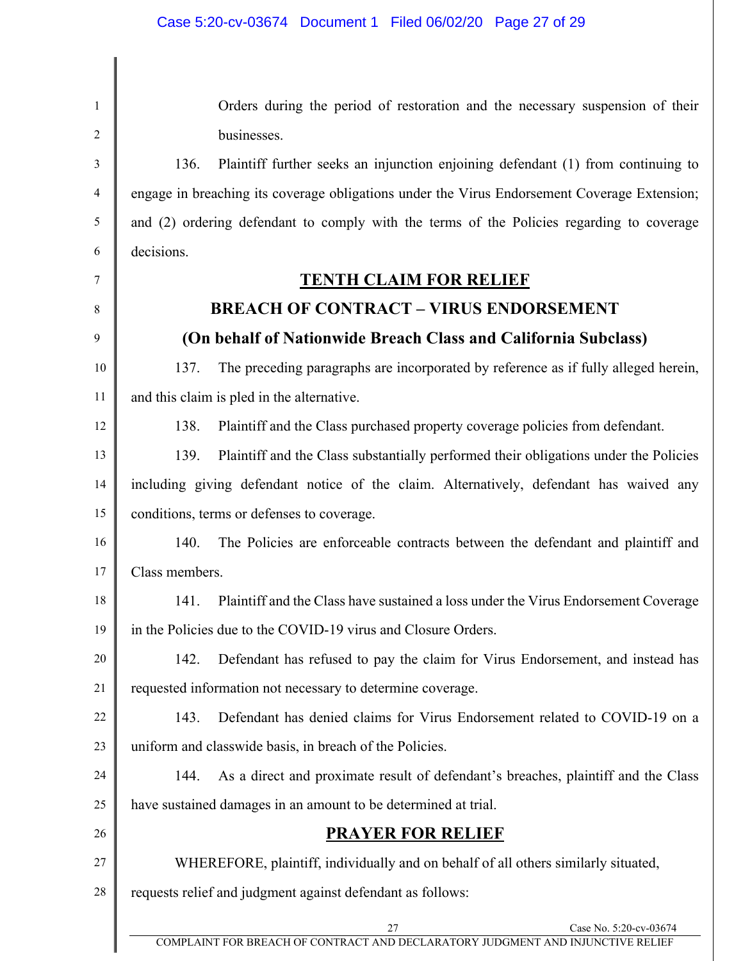| $\mathbf{1}$ | Orders during the period of restoration and the necessary suspension of their                |  |  |
|--------------|----------------------------------------------------------------------------------------------|--|--|
| 2            | businesses.                                                                                  |  |  |
| 3            | Plaintiff further seeks an injunction enjoining defendant (1) from continuing to<br>136.     |  |  |
| 4            | engage in breaching its coverage obligations under the Virus Endorsement Coverage Extension; |  |  |
| 5            | and (2) ordering defendant to comply with the terms of the Policies regarding to coverage    |  |  |
| 6            | decisions.                                                                                   |  |  |
| 7            | <b>TENTH CLAIM FOR RELIEF</b>                                                                |  |  |
| 8            | <b>BREACH OF CONTRACT - VIRUS ENDORSEMENT</b>                                                |  |  |
| 9            | (On behalf of Nationwide Breach Class and California Subclass)                               |  |  |
| 10           | 137.<br>The preceding paragraphs are incorporated by reference as if fully alleged herein,   |  |  |
| 11           | and this claim is pled in the alternative.                                                   |  |  |
| 12           | 138.<br>Plaintiff and the Class purchased property coverage policies from defendant.         |  |  |
| 13           | 139.<br>Plaintiff and the Class substantially performed their obligations under the Policies |  |  |
| 14           | including giving defendant notice of the claim. Alternatively, defendant has waived any      |  |  |
| 15           | conditions, terms or defenses to coverage.                                                   |  |  |
| 16           | 140.<br>The Policies are enforceable contracts between the defendant and plaintiff and       |  |  |
| 17           | Class members.                                                                               |  |  |
| 18           | 141. Plaintiff and the Class have sustained a loss under the Virus Endorsement Coverage      |  |  |
| 19           | in the Policies due to the COVID-19 virus and Closure Orders.                                |  |  |
| 20           | Defendant has refused to pay the claim for Virus Endorsement, and instead has<br>142.        |  |  |
| 21           | requested information not necessary to determine coverage.                                   |  |  |
| 22           | 143.<br>Defendant has denied claims for Virus Endorsement related to COVID-19 on a           |  |  |
| 23           | uniform and classwide basis, in breach of the Policies.                                      |  |  |
| 24           | As a direct and proximate result of defendant's breaches, plaintiff and the Class<br>144.    |  |  |
| 25           | have sustained damages in an amount to be determined at trial.                               |  |  |
| 26           | <b>PRAYER FOR RELIEF</b>                                                                     |  |  |
| 27           | WHEREFORE, plaintiff, individually and on behalf of all others similarly situated,           |  |  |
| 28           | requests relief and judgment against defendant as follows:                                   |  |  |
|              | Case No. 5:20-cv-03674<br>27                                                                 |  |  |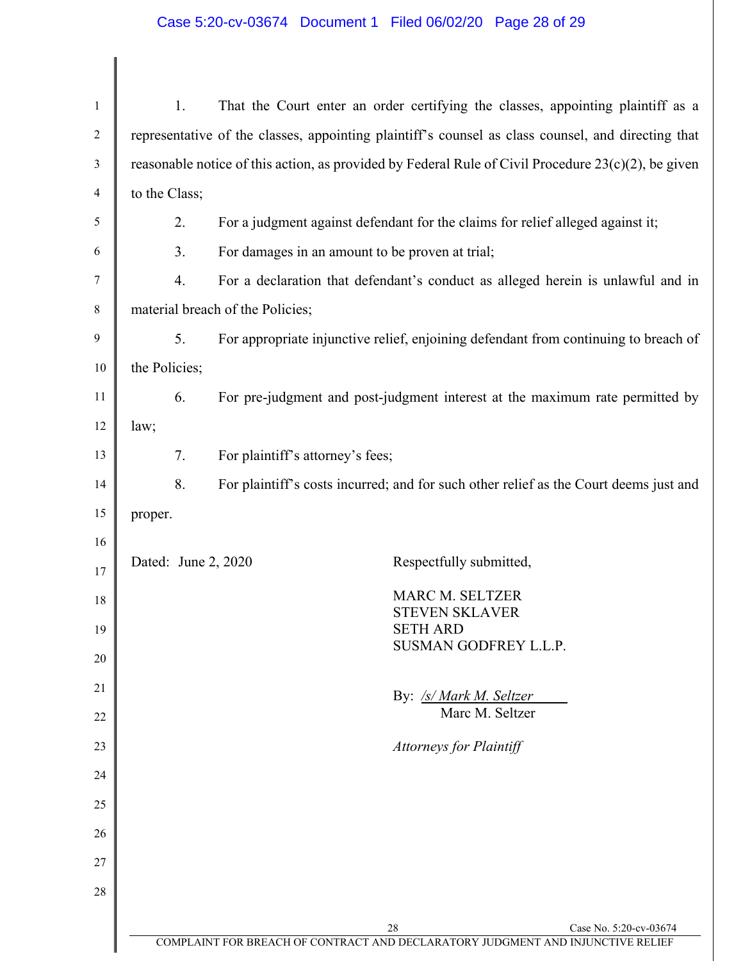## Case 5:20-cv-03674 Document 1 Filed 06/02/20 Page 28 of 29

| $\mathbf{1}$   | 1.                                                                                                     |                                                                                                    | That the Court enter an order certifying the classes, appointing plaintiff as a                                 |
|----------------|--------------------------------------------------------------------------------------------------------|----------------------------------------------------------------------------------------------------|-----------------------------------------------------------------------------------------------------------------|
| $\overline{c}$ |                                                                                                        | representative of the classes, appointing plaintiff's counsel as class counsel, and directing that |                                                                                                                 |
| 3              | reasonable notice of this action, as provided by Federal Rule of Civil Procedure $23(c)(2)$ , be given |                                                                                                    |                                                                                                                 |
| $\overline{4}$ | to the Class;                                                                                          |                                                                                                    |                                                                                                                 |
| 5              | 2.                                                                                                     |                                                                                                    | For a judgment against defendant for the claims for relief alleged against it;                                  |
| 6              | 3.                                                                                                     |                                                                                                    | For damages in an amount to be proven at trial;                                                                 |
| 7              | $\overline{4}$ .                                                                                       |                                                                                                    | For a declaration that defendant's conduct as alleged herein is unlawful and in                                 |
| 8              |                                                                                                        | material breach of the Policies;                                                                   |                                                                                                                 |
| 9              | 5.                                                                                                     | For appropriate injunctive relief, enjoining defendant from continuing to breach of                |                                                                                                                 |
| 10             | the Policies;                                                                                          |                                                                                                    |                                                                                                                 |
| 11             | 6.                                                                                                     | For pre-judgment and post-judgment interest at the maximum rate permitted by                       |                                                                                                                 |
| 12             | law;                                                                                                   |                                                                                                    |                                                                                                                 |
| 13             | 7.                                                                                                     | For plaintiff's attorney's fees;                                                                   |                                                                                                                 |
| 14             | 8.                                                                                                     |                                                                                                    | For plaintiff's costs incurred; and for such other relief as the Court deems just and                           |
| 15             | proper.                                                                                                |                                                                                                    |                                                                                                                 |
| 16             |                                                                                                        |                                                                                                    |                                                                                                                 |
| 17             | Dated: June 2, 2020                                                                                    |                                                                                                    | Respectfully submitted,                                                                                         |
| 18             |                                                                                                        |                                                                                                    | <b>MARC M. SELTZER</b><br><b>STEVEN SKLAVER</b>                                                                 |
| 19             |                                                                                                        |                                                                                                    | <b>SETH ARD</b><br>SUSMAN GODFREY L.L.P.                                                                        |
| 20             |                                                                                                        |                                                                                                    |                                                                                                                 |
| 21             |                                                                                                        |                                                                                                    | By: /s/ Mark M. Seltzer                                                                                         |
| 22             |                                                                                                        |                                                                                                    | Marc M. Seltzer                                                                                                 |
| 23             |                                                                                                        |                                                                                                    | <b>Attorneys for Plaintiff</b>                                                                                  |
| 24             |                                                                                                        |                                                                                                    |                                                                                                                 |
| 25             |                                                                                                        |                                                                                                    |                                                                                                                 |
| 26             |                                                                                                        |                                                                                                    |                                                                                                                 |
| 27             |                                                                                                        |                                                                                                    |                                                                                                                 |
| 28             |                                                                                                        |                                                                                                    |                                                                                                                 |
|                |                                                                                                        |                                                                                                    | 28<br>Case No. 5:20-cv-03674<br>COMPLAINT FOR BREACH OF CONTRACT AND DECLARATORY JUDGMENT AND INJUNCTIVE RELIEF |